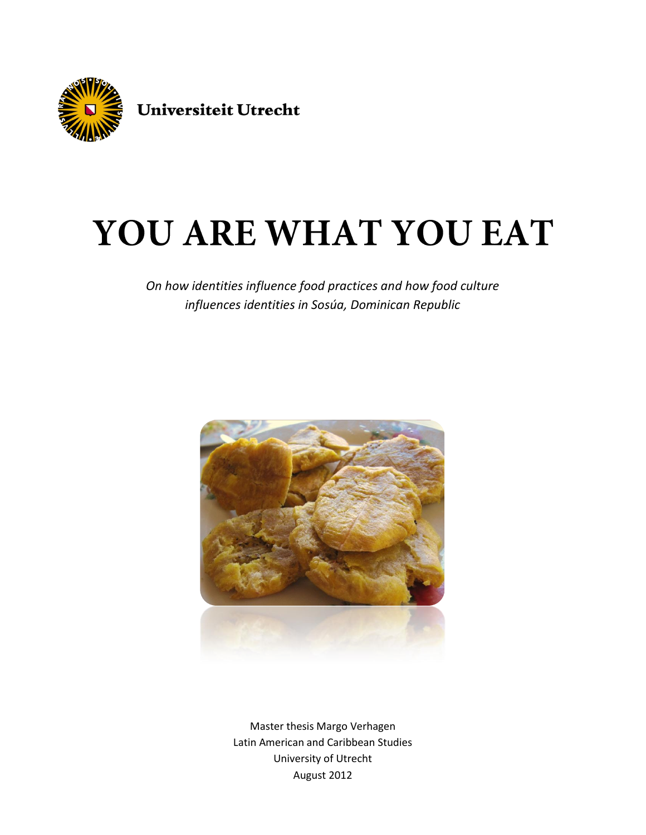

# YOU ARE WHAT YOU EAT

*On how identities influence food practices and how food culture influences identities in Sosúa, Dominican Republic*



Master thesis Margo Verhagen Latin American and Caribbean Studies University of Utrecht August 2012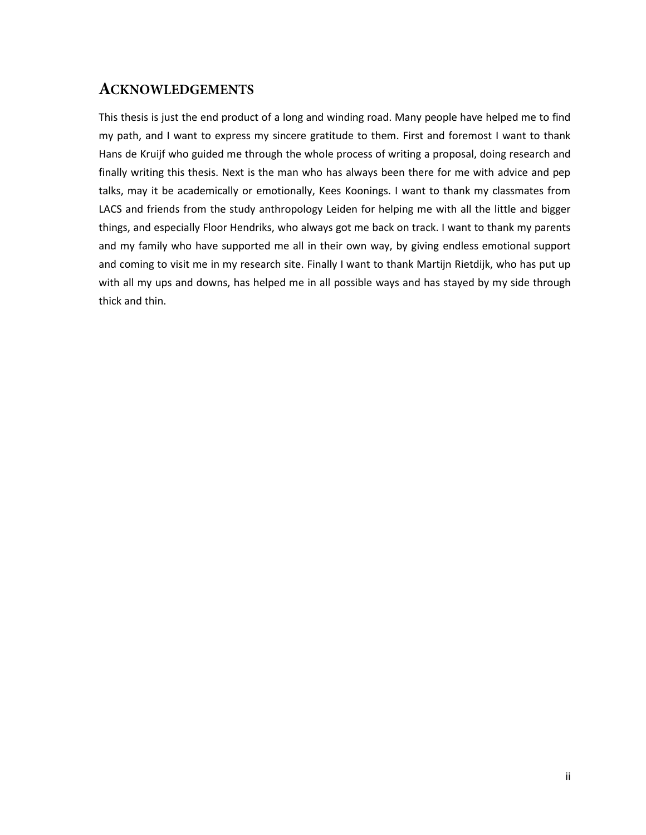## <span id="page-1-0"></span>**ACKNOWLEDGEMENTS**

This thesis is just the end product of a long and winding road. Many people have helped me to find my path, and I want to express my sincere gratitude to them. First and foremost I want to thank Hans de Kruijf who guided me through the whole process of writing a proposal, doing research and finally writing this thesis. Next is the man who has always been there for me with advice and pep talks, may it be academically or emotionally, Kees Koonings. I want to thank my classmates from LACS and friends from the study anthropology Leiden for helping me with all the little and bigger things, and especially Floor Hendriks, who always got me back on track. I want to thank my parents and my family who have supported me all in their own way, by giving endless emotional support and coming to visit me in my research site. Finally I want to thank Martijn Rietdijk, who has put up with all my ups and downs, has helped me in all possible ways and has stayed by my side through thick and thin.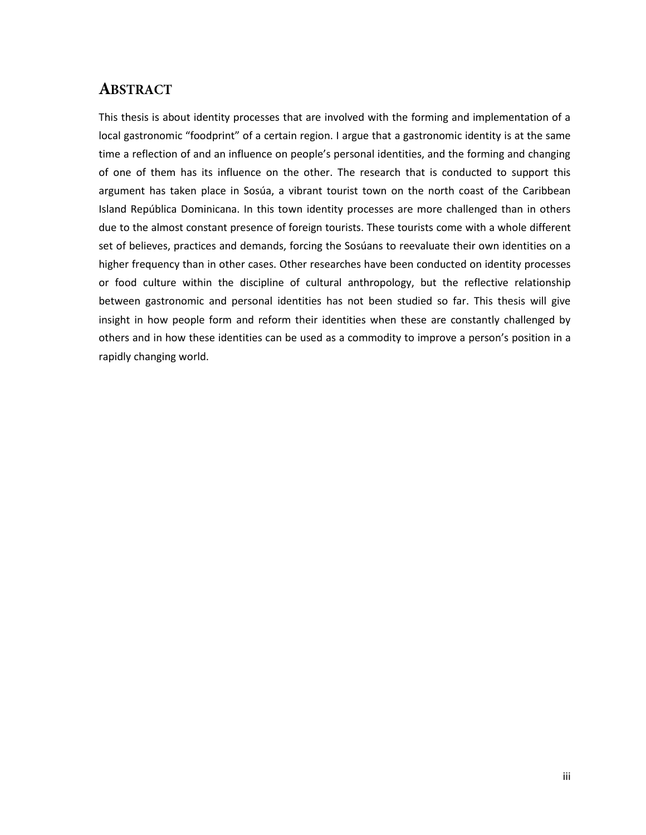# <span id="page-2-0"></span>**ABSTRACT**

This thesis is about identity processes that are involved with the forming and implementation of a local gastronomic "foodprint" of a certain region. I argue that a gastronomic identity is at the same time a reflection of and an influence on people's personal identities, and the forming and changing of one of them has its influence on the other. The research that is conducted to support this argument has taken place in Sosúa, a vibrant tourist town on the north coast of the Caribbean Island República Dominicana. In this town identity processes are more challenged than in others due to the almost constant presence of foreign tourists. These tourists come with a whole different set of believes, practices and demands, forcing the Sosúans to reevaluate their own identities on a higher frequency than in other cases. Other researches have been conducted on identity processes or food culture within the discipline of cultural anthropology, but the reflective relationship between gastronomic and personal identities has not been studied so far. This thesis will give insight in how people form and reform their identities when these are constantly challenged by others and in how these identities can be used as a commodity to improve a person's position in a rapidly changing world.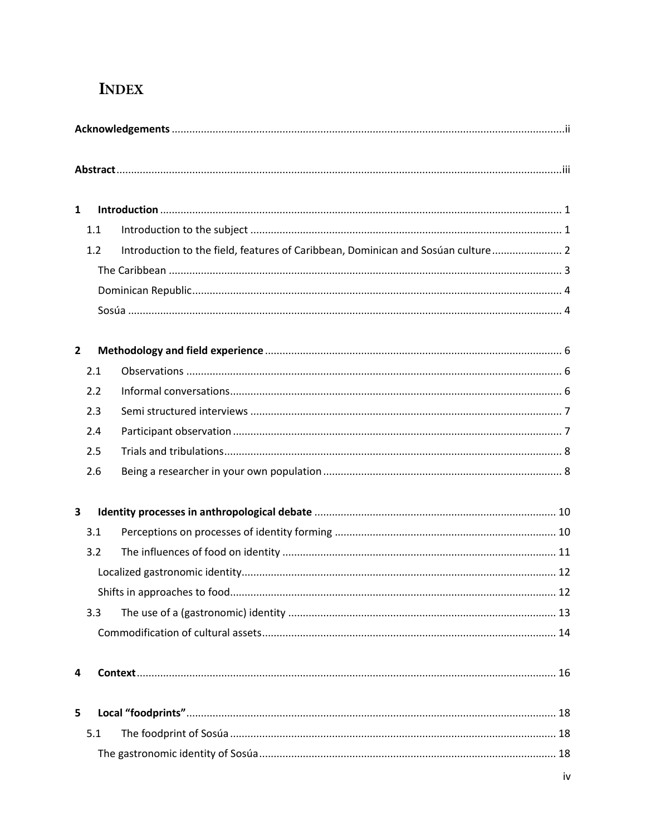# **INDEX**

| $\mathbf{1}$   |     |                                                                                  |  |  |  |  |  |
|----------------|-----|----------------------------------------------------------------------------------|--|--|--|--|--|
|                | 1.1 |                                                                                  |  |  |  |  |  |
|                | 1.2 | Introduction to the field, features of Caribbean, Dominican and Sosúan culture 2 |  |  |  |  |  |
|                |     |                                                                                  |  |  |  |  |  |
|                |     |                                                                                  |  |  |  |  |  |
|                |     |                                                                                  |  |  |  |  |  |
| $\overline{2}$ |     |                                                                                  |  |  |  |  |  |
|                | 2.1 |                                                                                  |  |  |  |  |  |
|                | 2.2 |                                                                                  |  |  |  |  |  |
|                | 2.3 |                                                                                  |  |  |  |  |  |
|                | 2.4 |                                                                                  |  |  |  |  |  |
|                | 2.5 |                                                                                  |  |  |  |  |  |
|                | 2.6 |                                                                                  |  |  |  |  |  |
| 3              |     |                                                                                  |  |  |  |  |  |
|                | 3.1 |                                                                                  |  |  |  |  |  |
|                | 3.2 |                                                                                  |  |  |  |  |  |
|                |     |                                                                                  |  |  |  |  |  |
|                |     |                                                                                  |  |  |  |  |  |
|                | 3.3 |                                                                                  |  |  |  |  |  |
|                |     |                                                                                  |  |  |  |  |  |
| 4              |     |                                                                                  |  |  |  |  |  |
| 5              |     |                                                                                  |  |  |  |  |  |
|                | 5.1 |                                                                                  |  |  |  |  |  |
|                |     |                                                                                  |  |  |  |  |  |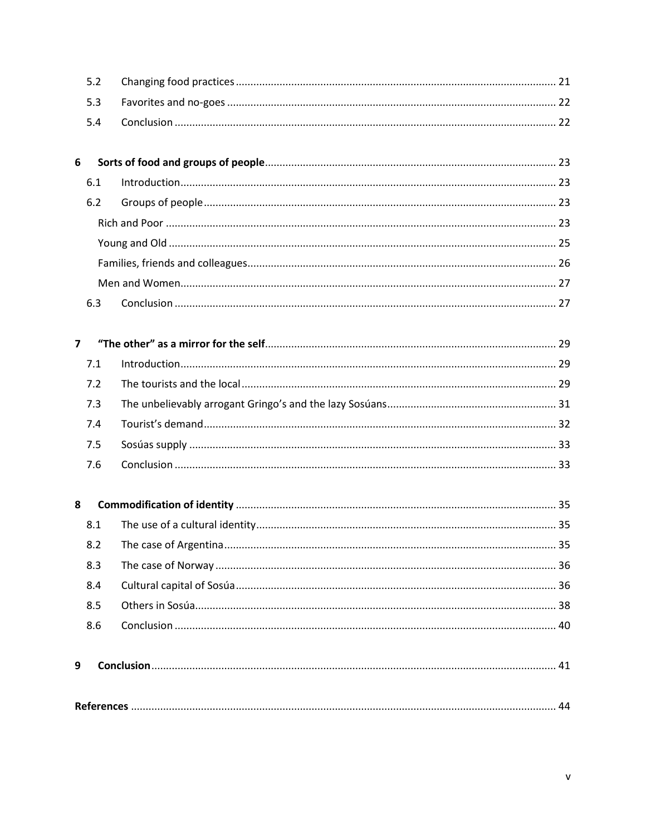| 5.3<br>5.4<br>6<br>6.1<br>6.2<br>6.3<br>$\overline{7}$<br>7.1<br>7.2<br>7.3<br>7.4<br>7.5<br>7.6<br>8<br>8.1<br>8.2<br>8.3<br>8.4<br>8.5<br>8.6<br>9 |     |  |
|------------------------------------------------------------------------------------------------------------------------------------------------------|-----|--|
|                                                                                                                                                      | 5.2 |  |
|                                                                                                                                                      |     |  |
|                                                                                                                                                      |     |  |
|                                                                                                                                                      |     |  |
|                                                                                                                                                      |     |  |
|                                                                                                                                                      |     |  |
|                                                                                                                                                      |     |  |
|                                                                                                                                                      |     |  |
|                                                                                                                                                      |     |  |
|                                                                                                                                                      |     |  |
|                                                                                                                                                      |     |  |
|                                                                                                                                                      |     |  |
|                                                                                                                                                      |     |  |
|                                                                                                                                                      |     |  |
|                                                                                                                                                      |     |  |
|                                                                                                                                                      |     |  |
|                                                                                                                                                      |     |  |
|                                                                                                                                                      |     |  |
|                                                                                                                                                      |     |  |
|                                                                                                                                                      |     |  |
|                                                                                                                                                      |     |  |
|                                                                                                                                                      |     |  |
|                                                                                                                                                      |     |  |
|                                                                                                                                                      |     |  |
|                                                                                                                                                      |     |  |
|                                                                                                                                                      |     |  |
|                                                                                                                                                      |     |  |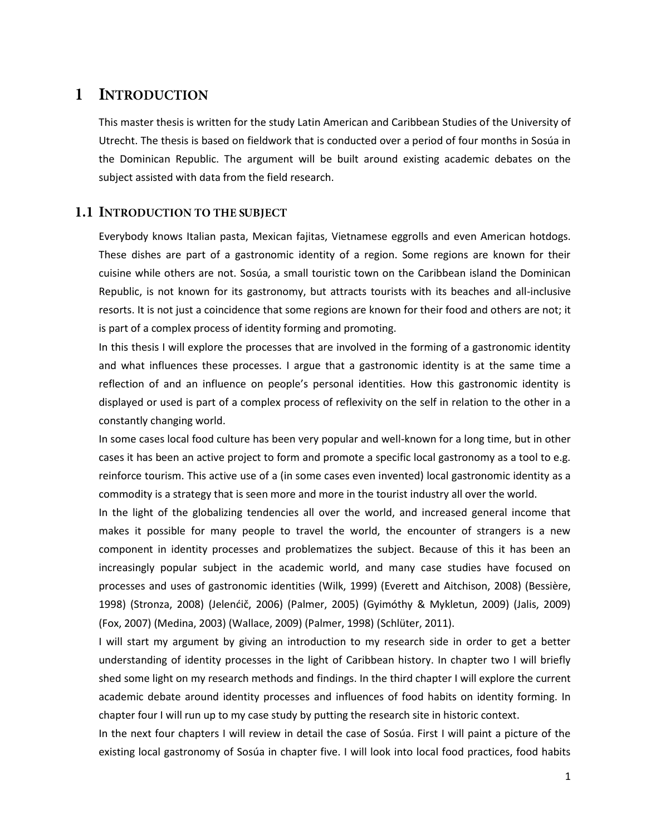## <span id="page-5-0"></span>1 INTRODUCTION

This master thesis is written for the study Latin American and Caribbean Studies of the University of Utrecht. The thesis is based on fieldwork that is conducted over a period of four months in Sosúa in the Dominican Republic. The argument will be built around existing academic debates on the subject assisted with data from the field research.

#### <span id="page-5-1"></span>1.1 INTRODUCTION TO THE SUBJECT

Everybody knows Italian pasta, Mexican fajitas, Vietnamese eggrolls and even American hotdogs. These dishes are part of a gastronomic identity of a region. Some regions are known for their cuisine while others are not. Sosúa, a small touristic town on the Caribbean island the Dominican Republic, is not known for its gastronomy, but attracts tourists with its beaches and all-inclusive resorts. It is not just a coincidence that some regions are known for their food and others are not; it is part of a complex process of identity forming and promoting.

In this thesis I will explore the processes that are involved in the forming of a gastronomic identity and what influences these processes. I argue that a gastronomic identity is at the same time a reflection of and an influence on people's personal identities. How this gastronomic identity is displayed or used is part of a complex process of reflexivity on the self in relation to the other in a constantly changing world.

In some cases local food culture has been very popular and well-known for a long time, but in other cases it has been an active project to form and promote a specific local gastronomy as a tool to e.g. reinforce tourism. This active use of a (in some cases even invented) local gastronomic identity as a commodity is a strategy that is seen more and more in the tourist industry all over the world.

In the light of the globalizing tendencies all over the world, and increased general income that makes it possible for many people to travel the world, the encounter of strangers is a new component in identity processes and problematizes the subject. Because of this it has been an increasingly popular subject in the academic world, and many case studies have focused on processes and uses of gastronomic identities (Wilk, 1999) (Everett and Aitchison, 2008) (Bessière, 1998) (Stronza, 2008) (Jelenćič, 2006) (Palmer, 2005) (Gyimóthy & Mykletun, 2009) (Jalis, 2009) (Fox, 2007) (Medina, 2003) (Wallace, 2009) (Palmer, 1998) (Schlüter, 2011).

I will start my argument by giving an introduction to my research side in order to get a better understanding of identity processes in the light of Caribbean history. In chapter two I will briefly shed some light on my research methods and findings. In the third chapter I will explore the current academic debate around identity processes and influences of food habits on identity forming. In chapter four I will run up to my case study by putting the research site in historic context.

In the next four chapters I will review in detail the case of Sosúa. First I will paint a picture of the existing local gastronomy of Sosúa in chapter five. I will look into local food practices, food habits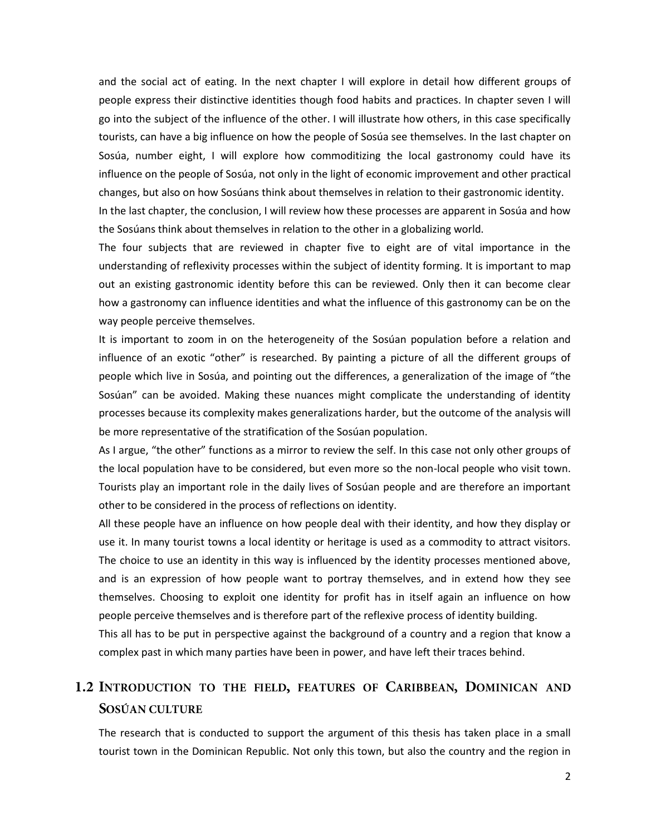and the social act of eating. In the next chapter I will explore in detail how different groups of people express their distinctive identities though food habits and practices. In chapter seven I will go into the subject of the influence of the other. I will illustrate how others, in this case specifically tourists, can have a big influence on how the people of Sosúa see themselves. In the Iast chapter on Sosúa, number eight, I will explore how commoditizing the local gastronomy could have its influence on the people of Sosúa, not only in the light of economic improvement and other practical changes, but also on how Sosúans think about themselves in relation to their gastronomic identity. In the last chapter, the conclusion, I will review how these processes are apparent in Sosúa and how

the Sosúans think about themselves in relation to the other in a globalizing world.

The four subjects that are reviewed in chapter five to eight are of vital importance in the understanding of reflexivity processes within the subject of identity forming. It is important to map out an existing gastronomic identity before this can be reviewed. Only then it can become clear how a gastronomy can influence identities and what the influence of this gastronomy can be on the way people perceive themselves.

It is important to zoom in on the heterogeneity of the Sosúan population before a relation and influence of an exotic "other" is researched. By painting a picture of all the different groups of people which live in Sosúa, and pointing out the differences, a generalization of the image of "the Sosúan" can be avoided. Making these nuances might complicate the understanding of identity processes because its complexity makes generalizations harder, but the outcome of the analysis will be more representative of the stratification of the Sosúan population.

As I argue, "the other" functions as a mirror to review the self. In this case not only other groups of the local population have to be considered, but even more so the non-local people who visit town. Tourists play an important role in the daily lives of Sosúan people and are therefore an important other to be considered in the process of reflections on identity.

All these people have an influence on how people deal with their identity, and how they display or use it. In many tourist towns a local identity or heritage is used as a commodity to attract visitors. The choice to use an identity in this way is influenced by the identity processes mentioned above, and is an expression of how people want to portray themselves, and in extend how they see themselves. Choosing to exploit one identity for profit has in itself again an influence on how people perceive themselves and is therefore part of the reflexive process of identity building.

This all has to be put in perspective against the background of a country and a region that know a complex past in which many parties have been in power, and have left their traces behind.

## <span id="page-6-0"></span>1.2 INTRODUCTION TO THE FIELD, FEATURES OF CARIBBEAN, DOMINICAN AND SOSÚAN CULTURE

The research that is conducted to support the argument of this thesis has taken place in a small tourist town in the Dominican Republic. Not only this town, but also the country and the region in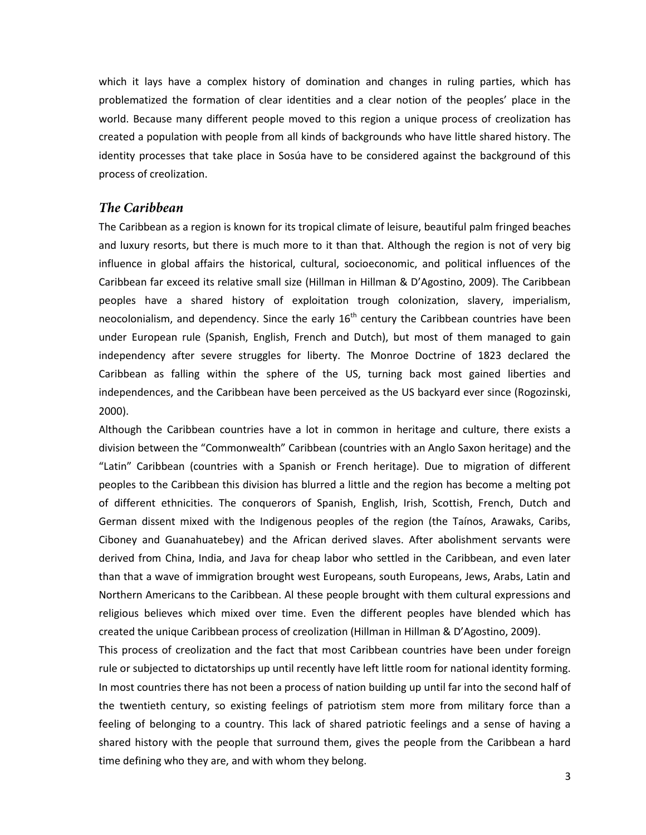which it lays have a complex history of domination and changes in ruling parties, which has problematized the formation of clear identities and a clear notion of the peoples' place in the world. Because many different people moved to this region a unique process of creolization has created a population with people from all kinds of backgrounds who have little shared history. The identity processes that take place in Sosúa have to be considered against the background of this process of creolization.

#### <span id="page-7-0"></span>The Caribbean

The Caribbean as a region is known for its tropical climate of leisure, beautiful palm fringed beaches and luxury resorts, but there is much more to it than that. Although the region is not of very big influence in global affairs the historical, cultural, socioeconomic, and political influences of the Caribbean far exceed its relative small size (Hillman in Hillman & D'Agostino, 2009). The Caribbean peoples have a shared history of exploitation trough colonization, slavery, imperialism, neocolonialism, and dependency. Since the early  $16<sup>th</sup>$  century the Caribbean countries have been under European rule (Spanish, English, French and Dutch), but most of them managed to gain independency after severe struggles for liberty. The Monroe Doctrine of 1823 declared the Caribbean as falling within the sphere of the US, turning back most gained liberties and independences, and the Caribbean have been perceived as the US backyard ever since (Rogozinski, 2000).

Although the Caribbean countries have a lot in common in heritage and culture, there exists a division between the "Commonwealth" Caribbean (countries with an Anglo Saxon heritage) and the "Latin" Caribbean (countries with a Spanish or French heritage). Due to migration of different peoples to the Caribbean this division has blurred a little and the region has become a melting pot of different ethnicities. The conquerors of Spanish, English, Irish, Scottish, French, Dutch and German dissent mixed with the Indigenous peoples of the region (the Taínos, Arawaks, Caribs, Ciboney and Guanahuatebey) and the African derived slaves. After abolishment servants were derived from China, India, and Java for cheap labor who settled in the Caribbean, and even later than that a wave of immigration brought west Europeans, south Europeans, Jews, Arabs, Latin and Northern Americans to the Caribbean. Al these people brought with them cultural expressions and religious believes which mixed over time. Even the different peoples have blended which has created the unique Caribbean process of creolization (Hillman in Hillman & D'Agostino, 2009).

This process of creolization and the fact that most Caribbean countries have been under foreign rule or subjected to dictatorships up until recently have left little room for national identity forming. In most countries there has not been a process of nation building up until far into the second half of the twentieth century, so existing feelings of patriotism stem more from military force than a feeling of belonging to a country. This lack of shared patriotic feelings and a sense of having a shared history with the people that surround them, gives the people from the Caribbean a hard time defining who they are, and with whom they belong.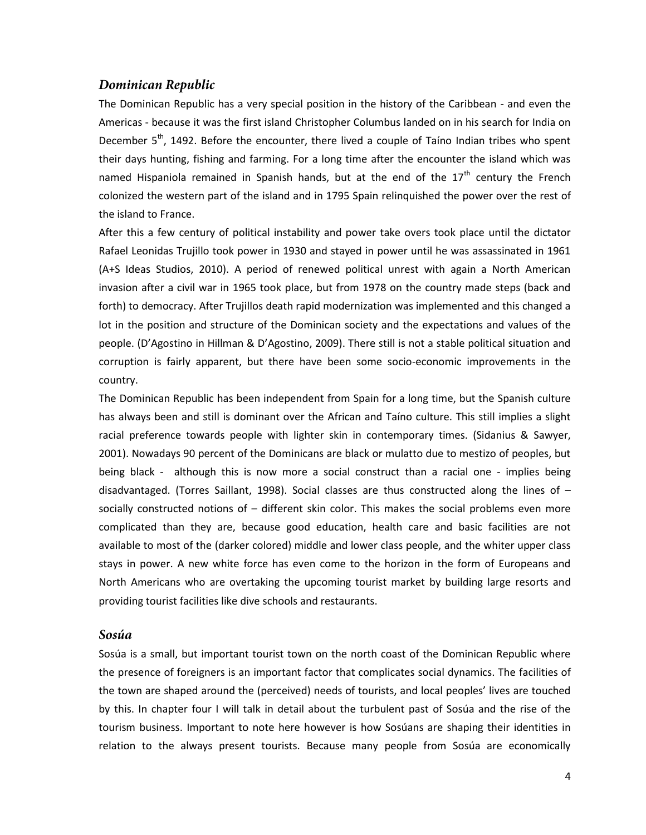#### <span id="page-8-0"></span>Dominican Republic

The Dominican Republic has a very special position in the history of the Caribbean - and even the Americas - because it was the first island Christopher Columbus landed on in his search for India on December 5<sup>th</sup>, 1492. Before the encounter, there lived a couple of Taíno Indian tribes who spent their days hunting, fishing and farming. For a long time after the encounter the island which was named Hispaniola remained in Spanish hands, but at the end of the  $17<sup>th</sup>$  century the French colonized the western part of the island and in 1795 Spain relinquished the power over the rest of the island to France.

After this a few century of political instability and power take overs took place until the dictator Rafael Leonidas Trujillo took power in 1930 and stayed in power until he was assassinated in 1961 (A+S Ideas Studios, 2010). A period of renewed political unrest with again a North American invasion after a civil war in 1965 took place, but from 1978 on the country made steps (back and forth) to democracy. After Trujillos death rapid modernization was implemented and this changed a lot in the position and structure of the Dominican society and the expectations and values of the people. (D'Agostino in Hillman & D'Agostino, 2009). There still is not a stable political situation and corruption is fairly apparent, but there have been some socio-economic improvements in the country.

The Dominican Republic has been independent from Spain for a long time, but the Spanish culture has always been and still is dominant over the African and Taíno culture. This still implies a slight racial preference towards people with lighter skin in contemporary times. (Sidanius & Sawyer, 2001). Nowadays 90 percent of the Dominicans are black or mulatto due to mestizo of peoples, but being black - although this is now more a social construct than a racial one - implies being disadvantaged. (Torres Saillant, 1998). Social classes are thus constructed along the lines of – socially constructed notions of – different skin color. This makes the social problems even more complicated than they are, because good education, health care and basic facilities are not available to most of the (darker colored) middle and lower class people, and the whiter upper class stays in power. A new white force has even come to the horizon in the form of Europeans and North Americans who are overtaking the upcoming tourist market by building large resorts and providing tourist facilities like dive schools and restaurants.

#### <span id="page-8-1"></span>Sosúa

Sosúa is a small, but important tourist town on the north coast of the Dominican Republic where the presence of foreigners is an important factor that complicates social dynamics. The facilities of the town are shaped around the (perceived) needs of tourists, and local peoples' lives are touched by this. In chapter four I will talk in detail about the turbulent past of Sosúa and the rise of the tourism business. Important to note here however is how Sosúans are shaping their identities in relation to the always present tourists. Because many people from Sosúa are economically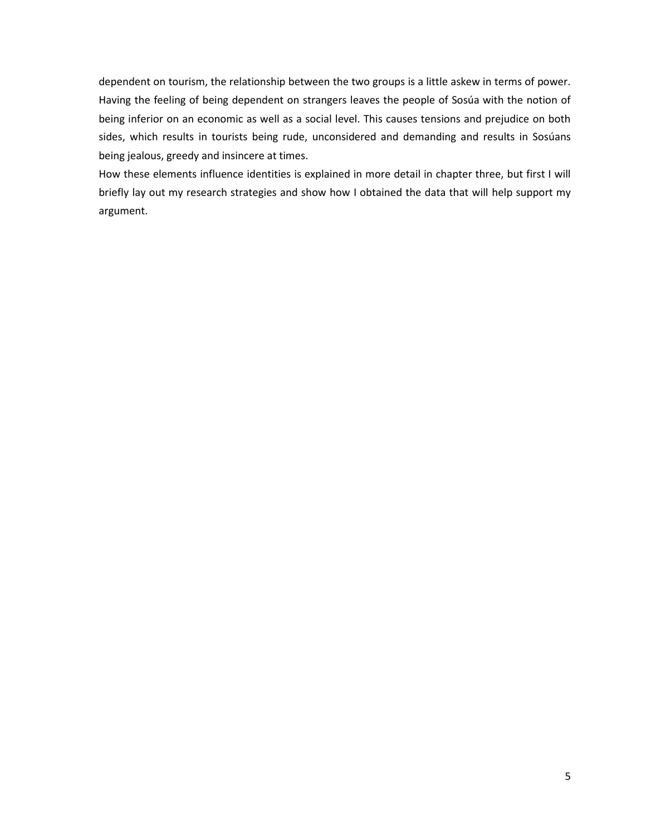dependent on tourism, the relationship between the two groups is a little askew in terms of power. Having the feeling of being dependent on strangers leaves the people of Sosúa with the notion of being inferior on an economic as well as a social level. This causes tensions and prejudice on both sides, which results in tourists being rude, unconsidered and demanding and results in Sosúans being jealous, greedy and insincere at times.

How these elements influence identities is explained in more detail in chapter three, but first I will briefly lay out my research strategies and show how I obtained the data that will help support my argument.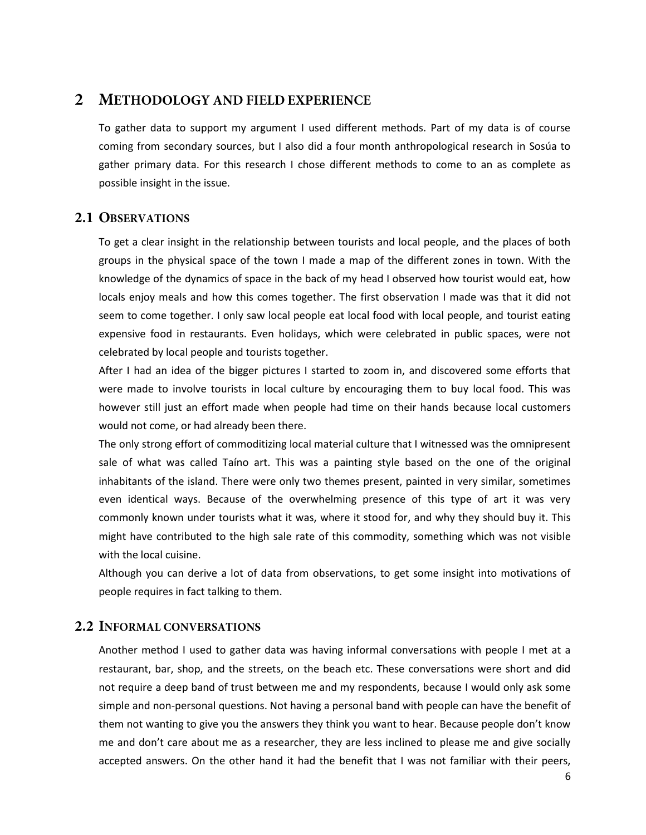#### <span id="page-10-0"></span> $\overline{2}$ **METHODOLOGY AND FIELD EXPERIENCE**

To gather data to support my argument I used different methods. Part of my data is of course coming from secondary sources, but I also did a four month anthropological research in Sosúa to gather primary data. For this research I chose different methods to come to an as complete as possible insight in the issue.

#### <span id="page-10-1"></span>2.1 OBSERVATIONS

To get a clear insight in the relationship between tourists and local people, and the places of both groups in the physical space of the town I made a map of the different zones in town. With the knowledge of the dynamics of space in the back of my head I observed how tourist would eat, how locals enjoy meals and how this comes together. The first observation I made was that it did not seem to come together. I only saw local people eat local food with local people, and tourist eating expensive food in restaurants. Even holidays, which were celebrated in public spaces, were not celebrated by local people and tourists together.

After I had an idea of the bigger pictures I started to zoom in, and discovered some efforts that were made to involve tourists in local culture by encouraging them to buy local food. This was however still just an effort made when people had time on their hands because local customers would not come, or had already been there.

The only strong effort of commoditizing local material culture that I witnessed was the omnipresent sale of what was called Taíno art. This was a painting style based on the one of the original inhabitants of the island. There were only two themes present, painted in very similar, sometimes even identical ways. Because of the overwhelming presence of this type of art it was very commonly known under tourists what it was, where it stood for, and why they should buy it. This might have contributed to the high sale rate of this commodity, something which was not visible with the local cuisine.

Although you can derive a lot of data from observations, to get some insight into motivations of people requires in fact talking to them.

#### <span id="page-10-2"></span>**2.2 INFORMAL CONVERSATIONS**

Another method I used to gather data was having informal conversations with people I met at a restaurant, bar, shop, and the streets, on the beach etc. These conversations were short and did not require a deep band of trust between me and my respondents, because I would only ask some simple and non-personal questions. Not having a personal band with people can have the benefit of them not wanting to give you the answers they think you want to hear. Because people don't know me and don't care about me as a researcher, they are less inclined to please me and give socially accepted answers. On the other hand it had the benefit that I was not familiar with their peers,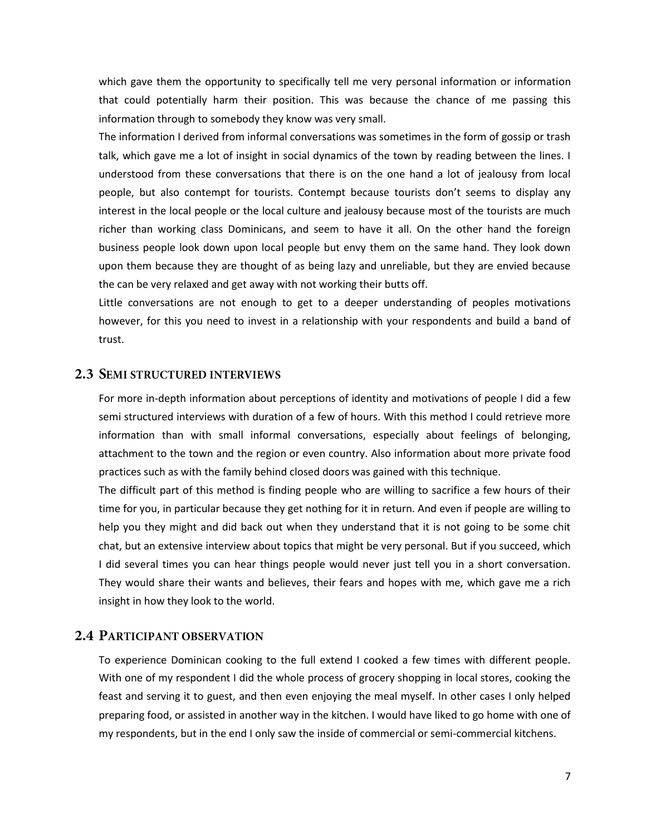which gave them the opportunity to specifically tell me very personal information or information that could potentially harm their position. This was because the chance of me passing this information through to somebody they know was very small.

The information I derived from informal conversations was sometimes in the form of gossip or trash talk, which gave me a lot of insight in social dynamics of the town by reading between the lines. I understood from these conversations that there is on the one hand a lot of jealousy from local people, but also contempt for tourists. Contempt because tourists don't seems to display any interest in the local people or the local culture and jealousy because most of the tourists are much richer than working class Dominicans, and seem to have it all. On the other hand the foreign business people look down upon local people but envy them on the same hand. They look down upon them because they are thought of as being lazy and unreliable, but they are envied because the can be very relaxed and get away with not working their butts off.

Little conversations are not enough to get to a deeper understanding of peoples motivations however, for this you need to invest in a relationship with your respondents and build a band of trust.

#### <span id="page-11-0"></span>**2.3 SEMI STRUCTURED INTERVIEWS**

For more in-depth information about perceptions of identity and motivations of people I did a few semi structured interviews with duration of a few of hours. With this method I could retrieve more information than with small informal conversations, especially about feelings of belonging, attachment to the town and the region or even country. Also information about more private food practices such as with the family behind closed doors was gained with this technique.

The difficult part of this method is finding people who are willing to sacrifice a few hours of their time for you, in particular because they get nothing for it in return. And even if people are willing to help you they might and did back out when they understand that it is not going to be some chit chat, but an extensive interview about topics that might be very personal. But if you succeed, which I did several times you can hear things people would never just tell you in a short conversation. They would share their wants and believes, their fears and hopes with me, which gave me a rich insight in how they look to the world.

#### <span id="page-11-1"></span>**2.4 PARTICIPANT OBSERVATION**

To experience Dominican cooking to the full extend I cooked a few times with different people. With one of my respondent I did the whole process of grocery shopping in local stores, cooking the feast and serving it to guest, and then even enjoying the meal myself. In other cases I only helped preparing food, or assisted in another way in the kitchen. I would have liked to go home with one of my respondents, but in the end I only saw the inside of commercial or semi-commercial kitchens.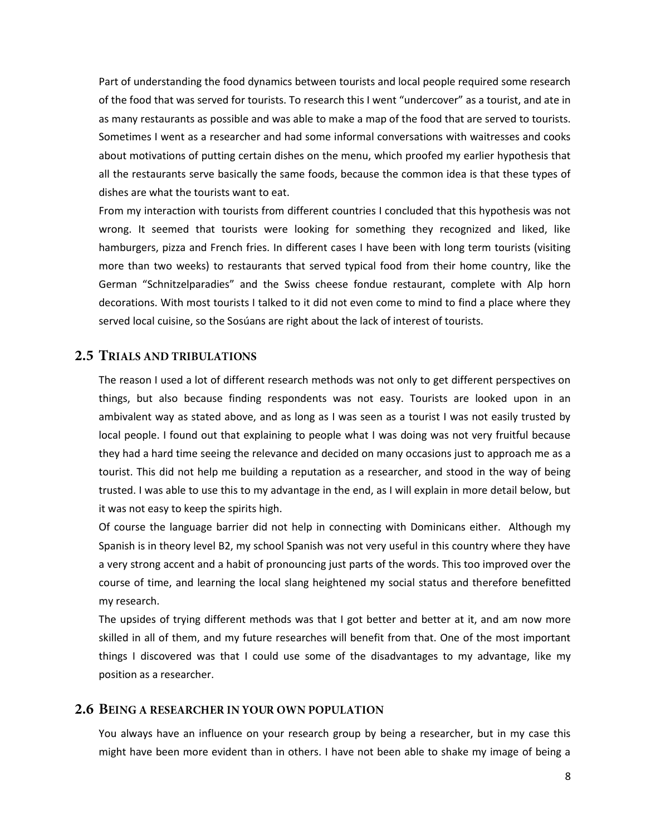Part of understanding the food dynamics between tourists and local people required some research of the food that was served for tourists. To research this I went "undercover" as a tourist, and ate in as many restaurants as possible and was able to make a map of the food that are served to tourists. Sometimes I went as a researcher and had some informal conversations with waitresses and cooks about motivations of putting certain dishes on the menu, which proofed my earlier hypothesis that all the restaurants serve basically the same foods, because the common idea is that these types of dishes are what the tourists want to eat.

From my interaction with tourists from different countries I concluded that this hypothesis was not wrong. It seemed that tourists were looking for something they recognized and liked, like hamburgers, pizza and French fries. In different cases I have been with long term tourists (visiting more than two weeks) to restaurants that served typical food from their home country, like the German "Schnitzelparadies" and the Swiss cheese fondue restaurant, complete with Alp horn decorations. With most tourists I talked to it did not even come to mind to find a place where they served local cuisine, so the Sosúans are right about the lack of interest of tourists.

#### <span id="page-12-0"></span>2.5 TRIALS AND TRIBULATIONS

The reason I used a lot of different research methods was not only to get different perspectives on things, but also because finding respondents was not easy. Tourists are looked upon in an ambivalent way as stated above, and as long as I was seen as a tourist I was not easily trusted by local people. I found out that explaining to people what I was doing was not very fruitful because they had a hard time seeing the relevance and decided on many occasions just to approach me as a tourist. This did not help me building a reputation as a researcher, and stood in the way of being trusted. I was able to use this to my advantage in the end, as I will explain in more detail below, but it was not easy to keep the spirits high.

Of course the language barrier did not help in connecting with Dominicans either. Although my Spanish is in theory level B2, my school Spanish was not very useful in this country where they have a very strong accent and a habit of pronouncing just parts of the words. This too improved over the course of time, and learning the local slang heightened my social status and therefore benefitted my research.

The upsides of trying different methods was that I got better and better at it, and am now more skilled in all of them, and my future researches will benefit from that. One of the most important things I discovered was that I could use some of the disadvantages to my advantage, like my position as a researcher.

#### <span id="page-12-1"></span>**2.6 BEING A RESEARCHER IN YOUR OWN POPULATION**

You always have an influence on your research group by being a researcher, but in my case this might have been more evident than in others. I have not been able to shake my image of being a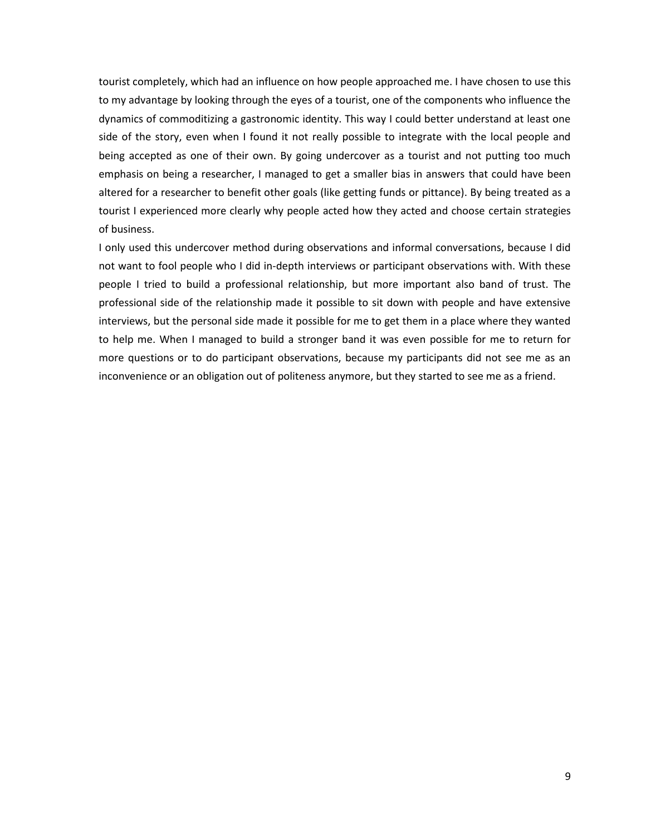tourist completely, which had an influence on how people approached me. I have chosen to use this to my advantage by looking through the eyes of a tourist, one of the components who influence the dynamics of commoditizing a gastronomic identity. This way I could better understand at least one side of the story, even when I found it not really possible to integrate with the local people and being accepted as one of their own. By going undercover as a tourist and not putting too much emphasis on being a researcher, I managed to get a smaller bias in answers that could have been altered for a researcher to benefit other goals (like getting funds or pittance). By being treated as a tourist I experienced more clearly why people acted how they acted and choose certain strategies of business.

I only used this undercover method during observations and informal conversations, because I did not want to fool people who I did in-depth interviews or participant observations with. With these people I tried to build a professional relationship, but more important also band of trust. The professional side of the relationship made it possible to sit down with people and have extensive interviews, but the personal side made it possible for me to get them in a place where they wanted to help me. When I managed to build a stronger band it was even possible for me to return for more questions or to do participant observations, because my participants did not see me as an inconvenience or an obligation out of politeness anymore, but they started to see me as a friend.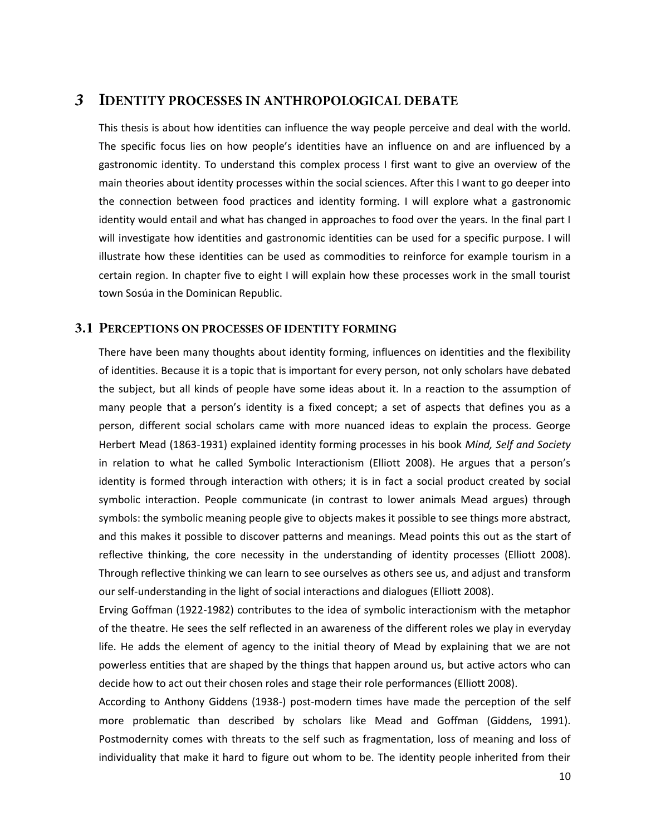#### <span id="page-14-0"></span> $\overline{3}$ **IDENTITY PROCESSES IN ANTHROPOLOGICAL DEBATE**

This thesis is about how identities can influence the way people perceive and deal with the world. The specific focus lies on how people's identities have an influence on and are influenced by a gastronomic identity. To understand this complex process I first want to give an overview of the main theories about identity processes within the social sciences. After this I want to go deeper into the connection between food practices and identity forming. I will explore what a gastronomic identity would entail and what has changed in approaches to food over the years. In the final part I will investigate how identities and gastronomic identities can be used for a specific purpose. I will illustrate how these identities can be used as commodities to reinforce for example tourism in a certain region. In chapter five to eight I will explain how these processes work in the small tourist town Sosúa in the Dominican Republic.

#### <span id="page-14-1"></span>3.1 PERCEPTIONS ON PROCESSES OF IDENTITY FORMING

There have been many thoughts about identity forming, influences on identities and the flexibility of identities. Because it is a topic that is important for every person, not only scholars have debated the subject, but all kinds of people have some ideas about it. In a reaction to the assumption of many people that a person's identity is a fixed concept; a set of aspects that defines you as a person, different social scholars came with more nuanced ideas to explain the process. George Herbert Mead (1863-1931) explained identity forming processes in his book *Mind, Self and Society* in relation to what he called Symbolic Interactionism (Elliott 2008). He argues that a person's identity is formed through interaction with others; it is in fact a social product created by social symbolic interaction. People communicate (in contrast to lower animals Mead argues) through symbols: the symbolic meaning people give to objects makes it possible to see things more abstract, and this makes it possible to discover patterns and meanings. Mead points this out as the start of reflective thinking, the core necessity in the understanding of identity processes (Elliott 2008). Through reflective thinking we can learn to see ourselves as others see us, and adjust and transform our self-understanding in the light of social interactions and dialogues (Elliott 2008).

Erving Goffman (1922-1982) contributes to the idea of symbolic interactionism with the metaphor of the theatre. He sees the self reflected in an awareness of the different roles we play in everyday life. He adds the element of agency to the initial theory of Mead by explaining that we are not powerless entities that are shaped by the things that happen around us, but active actors who can decide how to act out their chosen roles and stage their role performances (Elliott 2008).

According to Anthony Giddens (1938-) post-modern times have made the perception of the self more problematic than described by scholars like Mead and Goffman (Giddens, 1991). Postmodernity comes with threats to the self such as fragmentation, loss of meaning and loss of individuality that make it hard to figure out whom to be. The identity people inherited from their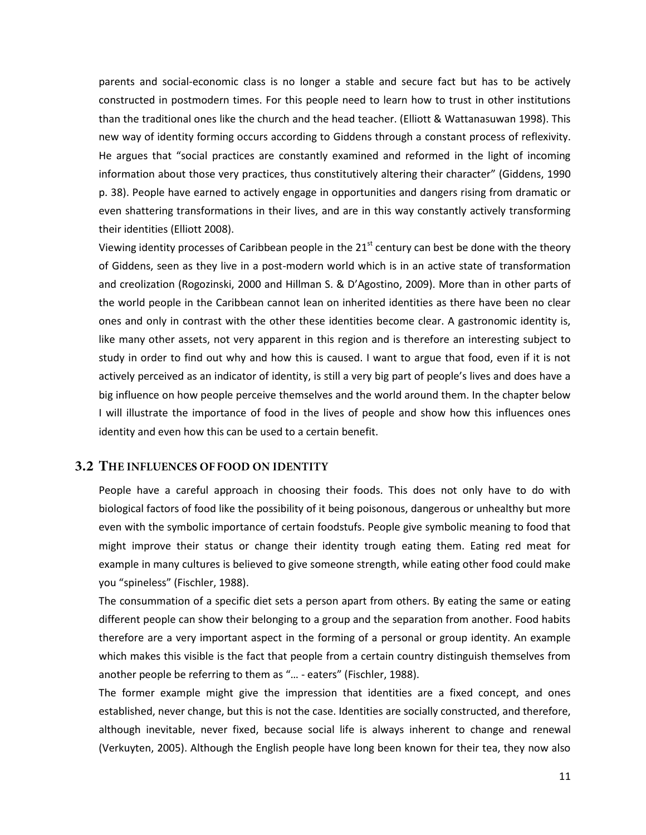parents and social-economic class is no longer a stable and secure fact but has to be actively constructed in postmodern times. For this people need to learn how to trust in other institutions than the traditional ones like the church and the head teacher. (Elliott & Wattanasuwan 1998). This new way of identity forming occurs according to Giddens through a constant process of reflexivity. He argues that "social practices are constantly examined and reformed in the light of incoming information about those very practices, thus constitutively altering their character" (Giddens, 1990 p. 38). People have earned to actively engage in opportunities and dangers rising from dramatic or even shattering transformations in their lives, and are in this way constantly actively transforming their identities (Elliott 2008).

Viewing identity processes of Caribbean people in the  $21<sup>st</sup>$  century can best be done with the theory of Giddens, seen as they live in a post-modern world which is in an active state of transformation and creolization (Rogozinski, 2000 and Hillman S. & D'Agostino, 2009). More than in other parts of the world people in the Caribbean cannot lean on inherited identities as there have been no clear ones and only in contrast with the other these identities become clear. A gastronomic identity is, like many other assets, not very apparent in this region and is therefore an interesting subject to study in order to find out why and how this is caused. I want to argue that food, even if it is not actively perceived as an indicator of identity, is still a very big part of people's lives and does have a big influence on how people perceive themselves and the world around them. In the chapter below I will illustrate the importance of food in the lives of people and show how this influences ones identity and even how this can be used to a certain benefit.

#### <span id="page-15-0"></span>3.2 THE INFLUENCES OF FOOD ON IDENTITY

People have a careful approach in choosing their foods. This does not only have to do with biological factors of food like the possibility of it being poisonous, dangerous or unhealthy but more even with the symbolic importance of certain foodstufs. People give symbolic meaning to food that might improve their status or change their identity trough eating them. Eating red meat for example in many cultures is believed to give someone strength, while eating other food could make you "spineless" (Fischler, 1988).

The consummation of a specific diet sets a person apart from others. By eating the same or eating different people can show their belonging to a group and the separation from another. Food habits therefore are a very important aspect in the forming of a personal or group identity. An example which makes this visible is the fact that people from a certain country distinguish themselves from another people be referring to them as "… - eaters" (Fischler, 1988).

The former example might give the impression that identities are a fixed concept, and ones established, never change, but this is not the case. Identities are socially constructed, and therefore, although inevitable, never fixed, because social life is always inherent to change and renewal (Verkuyten, 2005). Although the English people have long been known for their tea, they now also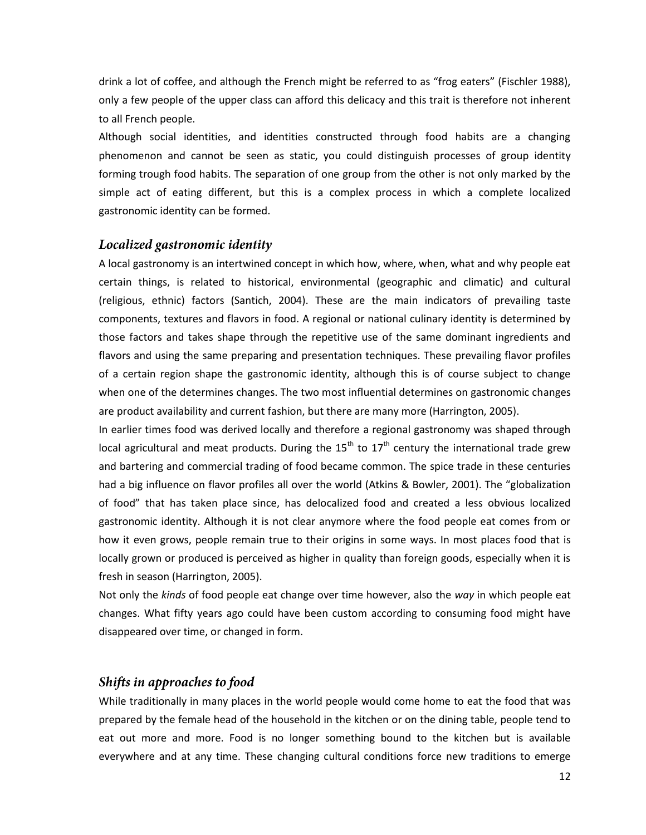drink a lot of coffee, and although the French might be referred to as "frog eaters" (Fischler 1988), only a few people of the upper class can afford this delicacy and this trait is therefore not inherent to all French people.

Although social identities, and identities constructed through food habits are a changing phenomenon and cannot be seen as static, you could distinguish processes of group identity forming trough food habits. The separation of one group from the other is not only marked by the simple act of eating different, but this is a complex process in which a complete localized gastronomic identity can be formed.

#### <span id="page-16-0"></span>Localized gastronomic identity

A local gastronomy is an intertwined concept in which how, where, when, what and why people eat certain things, is related to historical, environmental (geographic and climatic) and cultural (religious, ethnic) factors (Santich, 2004). These are the main indicators of prevailing taste components, textures and flavors in food. A regional or national culinary identity is determined by those factors and takes shape through the repetitive use of the same dominant ingredients and flavors and using the same preparing and presentation techniques. These prevailing flavor profiles of a certain region shape the gastronomic identity, although this is of course subject to change when one of the determines changes. The two most influential determines on gastronomic changes are product availability and current fashion, but there are many more (Harrington, 2005).

In earlier times food was derived locally and therefore a regional gastronomy was shaped through local agricultural and meat products. During the  $15<sup>th</sup>$  to  $17<sup>th</sup>$  century the international trade grew and bartering and commercial trading of food became common. The spice trade in these centuries had a big influence on flavor profiles all over the world (Atkins & Bowler, 2001). The "globalization of food" that has taken place since, has delocalized food and created a less obvious localized gastronomic identity. Although it is not clear anymore where the food people eat comes from or how it even grows, people remain true to their origins in some ways. In most places food that is locally grown or produced is perceived as higher in quality than foreign goods, especially when it is fresh in season (Harrington, 2005).

Not only the *kinds* of food people eat change over time however, also the *way* in which people eat changes. What fifty years ago could have been custom according to consuming food might have disappeared over time, or changed in form.

#### <span id="page-16-1"></span>Shifts in approaches to food

While traditionally in many places in the world people would come home to eat the food that was prepared by the female head of the household in the kitchen or on the dining table, people tend to eat out more and more. Food is no longer something bound to the kitchen but is available everywhere and at any time. These changing cultural conditions force new traditions to emerge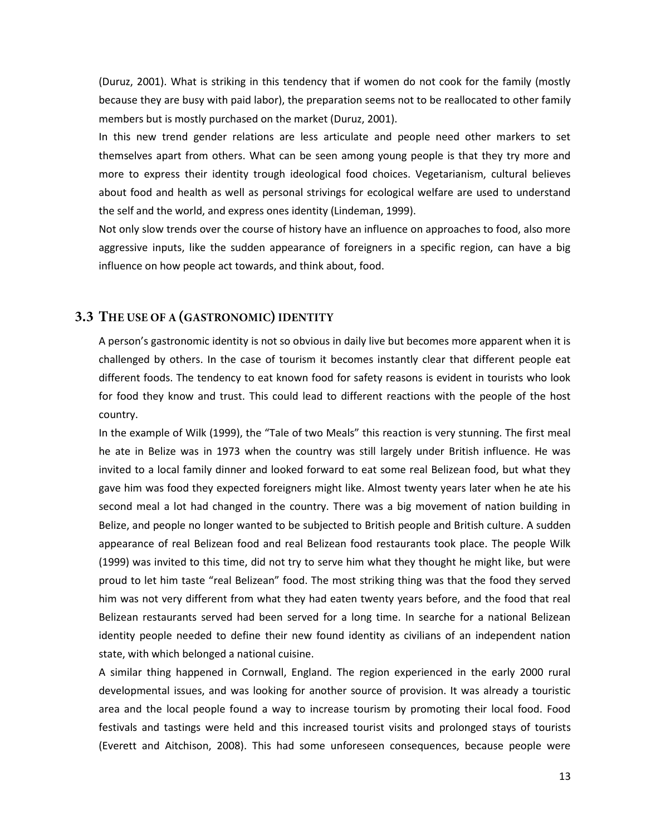(Duruz, 2001). What is striking in this tendency that if women do not cook for the family (mostly because they are busy with paid labor), the preparation seems not to be reallocated to other family members but is mostly purchased on the market (Duruz, 2001).

In this new trend gender relations are less articulate and people need other markers to set themselves apart from others. What can be seen among young people is that they try more and more to express their identity trough ideological food choices. Vegetarianism, cultural believes about food and health as well as personal strivings for ecological welfare are used to understand the self and the world, and express ones identity (Lindeman, 1999).

Not only slow trends over the course of history have an influence on approaches to food, also more aggressive inputs, like the sudden appearance of foreigners in a specific region, can have a big influence on how people act towards, and think about, food.

#### <span id="page-17-0"></span>3.3 THE USE OF A (GASTRONOMIC) IDENTITY

A person's gastronomic identity is not so obvious in daily live but becomes more apparent when it is challenged by others. In the case of tourism it becomes instantly clear that different people eat different foods. The tendency to eat known food for safety reasons is evident in tourists who look for food they know and trust. This could lead to different reactions with the people of the host country.

In the example of Wilk (1999), the "Tale of two Meals" this reaction is very stunning. The first meal he ate in Belize was in 1973 when the country was still largely under British influence. He was invited to a local family dinner and looked forward to eat some real Belizean food, but what they gave him was food they expected foreigners might like. Almost twenty years later when he ate his second meal a lot had changed in the country. There was a big movement of nation building in Belize, and people no longer wanted to be subjected to British people and British culture. A sudden appearance of real Belizean food and real Belizean food restaurants took place. The people Wilk (1999) was invited to this time, did not try to serve him what they thought he might like, but were proud to let him taste "real Belizean" food. The most striking thing was that the food they served him was not very different from what they had eaten twenty years before, and the food that real Belizean restaurants served had been served for a long time. In searche for a national Belizean identity people needed to define their new found identity as civilians of an independent nation state, with which belonged a national cuisine.

A similar thing happened in Cornwall, England. The region experienced in the early 2000 rural developmental issues, and was looking for another source of provision. It was already a touristic area and the local people found a way to increase tourism by promoting their local food. Food festivals and tastings were held and this increased tourist visits and prolonged stays of tourists (Everett and Aitchison, 2008). This had some unforeseen consequences, because people were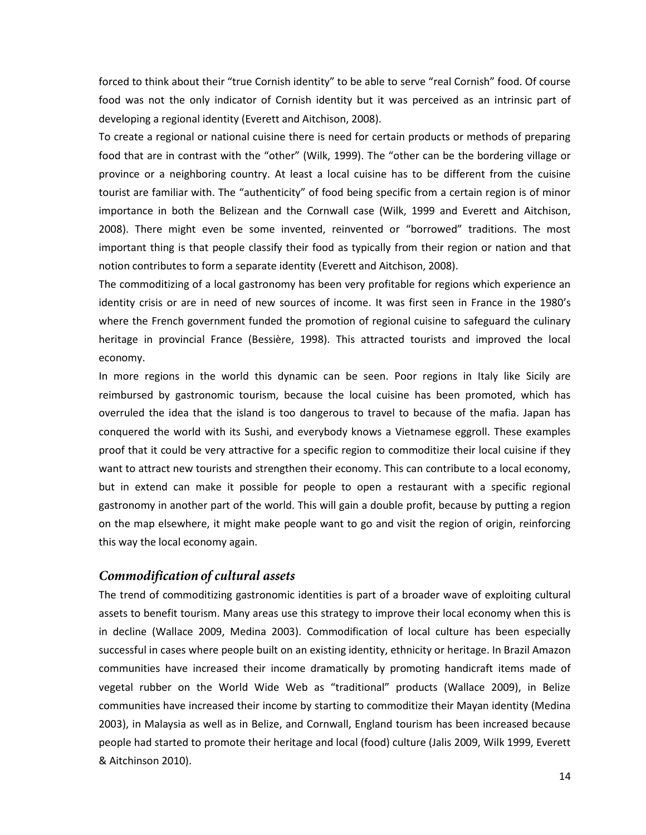forced to think about their "true Cornish identity" to be able to serve "real Cornish" food. Of course food was not the only indicator of Cornish identity but it was perceived as an intrinsic part of developing a regional identity (Everett and Aitchison, 2008).

To create a regional or national cuisine there is need for certain products or methods of preparing food that are in contrast with the "other" (Wilk, 1999). The "other can be the bordering village or province or a neighboring country. At least a local cuisine has to be different from the cuisine tourist are familiar with. The "authenticity" of food being specific from a certain region is of minor importance in both the Belizean and the Cornwall case (Wilk, 1999 and Everett and Aitchison, 2008). There might even be some invented, reinvented or "borrowed" traditions. The most important thing is that people classify their food as typically from their region or nation and that notion contributes to form a separate identity (Everett and Aitchison, 2008).

The commoditizing of a local gastronomy has been very profitable for regions which experience an identity crisis or are in need of new sources of income. It was first seen in France in the 1980's where the French government funded the promotion of regional cuisine to safeguard the culinary heritage in provincial France (Bessière, 1998). This attracted tourists and improved the local economy.

In more regions in the world this dynamic can be seen. Poor regions in Italy like Sicily are reimbursed by gastronomic tourism, because the local cuisine has been promoted, which has overruled the idea that the island is too dangerous to travel to because of the mafia. Japan has conquered the world with its Sushi, and everybody knows a Vietnamese eggroll. These examples proof that it could be very attractive for a specific region to commoditize their local cuisine if they want to attract new tourists and strengthen their economy. This can contribute to a local economy, but in extend can make it possible for people to open a restaurant with a specific regional gastronomy in another part of the world. This will gain a double profit, because by putting a region on the map elsewhere, it might make people want to go and visit the region of origin, reinforcing this way the local economy again.

#### <span id="page-18-0"></span>Commodification of cultural assets

The trend of commoditizing gastronomic identities is part of a broader wave of exploiting cultural assets to benefit tourism. Many areas use this strategy to improve their local economy when this is in decline (Wallace 2009, Medina 2003). Commodification of local culture has been especially successful in cases where people built on an existing identity, ethnicity or heritage. In Brazil Amazon communities have increased their income dramatically by promoting handicraft items made of vegetal rubber on the World Wide Web as "traditional" products (Wallace 2009), in Belize communities have increased their income by starting to commoditize their Mayan identity (Medina 2003), in Malaysia as well as in Belize, and Cornwall, England tourism has been increased because people had started to promote their heritage and local (food) culture (Jalis 2009, Wilk 1999, Everett & Aitchinson 2010).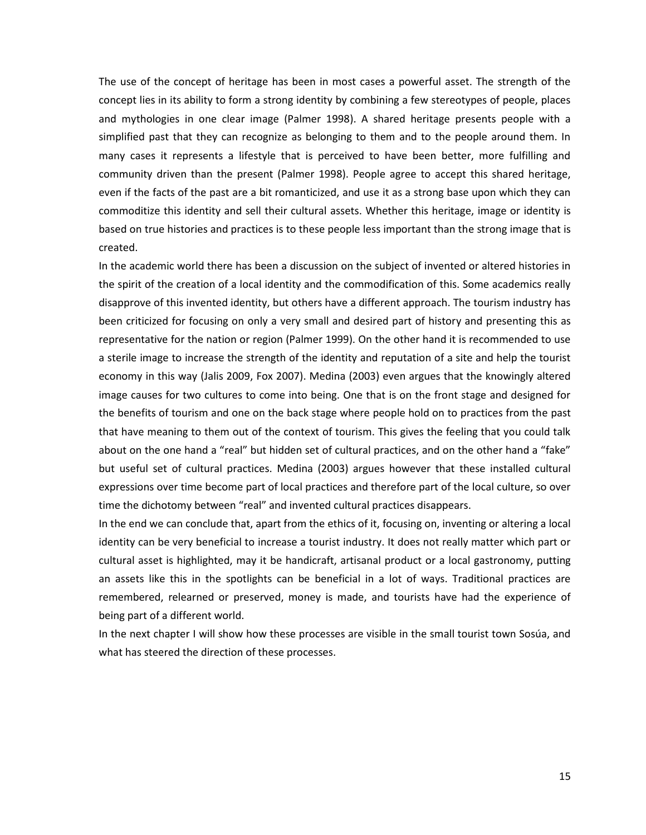The use of the concept of heritage has been in most cases a powerful asset. The strength of the concept lies in its ability to form a strong identity by combining a few stereotypes of people, places and mythologies in one clear image (Palmer 1998). A shared heritage presents people with a simplified past that they can recognize as belonging to them and to the people around them. In many cases it represents a lifestyle that is perceived to have been better, more fulfilling and community driven than the present (Palmer 1998). People agree to accept this shared heritage, even if the facts of the past are a bit romanticized, and use it as a strong base upon which they can commoditize this identity and sell their cultural assets. Whether this heritage, image or identity is based on true histories and practices is to these people less important than the strong image that is created.

In the academic world there has been a discussion on the subject of invented or altered histories in the spirit of the creation of a local identity and the commodification of this. Some academics really disapprove of this invented identity, but others have a different approach. The tourism industry has been criticized for focusing on only a very small and desired part of history and presenting this as representative for the nation or region (Palmer 1999). On the other hand it is recommended to use a sterile image to increase the strength of the identity and reputation of a site and help the tourist economy in this way (Jalis 2009, Fox 2007). Medina (2003) even argues that the knowingly altered image causes for two cultures to come into being. One that is on the front stage and designed for the benefits of tourism and one on the back stage where people hold on to practices from the past that have meaning to them out of the context of tourism. This gives the feeling that you could talk about on the one hand a "real" but hidden set of cultural practices, and on the other hand a "fake" but useful set of cultural practices. Medina (2003) argues however that these installed cultural expressions over time become part of local practices and therefore part of the local culture, so over time the dichotomy between "real" and invented cultural practices disappears.

In the end we can conclude that, apart from the ethics of it, focusing on, inventing or altering a local identity can be very beneficial to increase a tourist industry. It does not really matter which part or cultural asset is highlighted, may it be handicraft, artisanal product or a local gastronomy, putting an assets like this in the spotlights can be beneficial in a lot of ways. Traditional practices are remembered, relearned or preserved, money is made, and tourists have had the experience of being part of a different world.

In the next chapter I will show how these processes are visible in the small tourist town Sosúa, and what has steered the direction of these processes.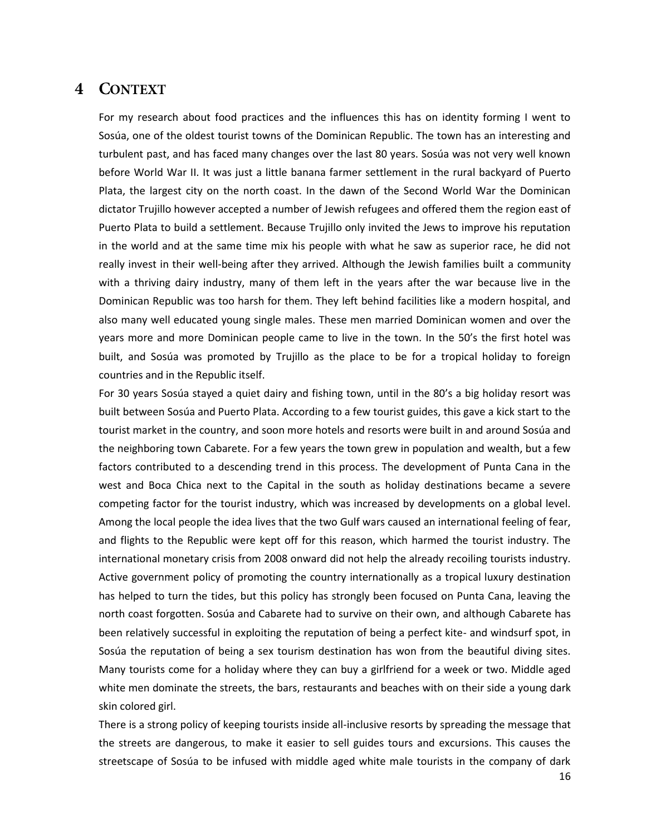## <span id="page-20-0"></span>4 CONTEXT

For my research about food practices and the influences this has on identity forming I went to Sosúa, one of the oldest tourist towns of the Dominican Republic. The town has an interesting and turbulent past, and has faced many changes over the last 80 years. Sosúa was not very well known before World War II. It was just a little banana farmer settlement in the rural backyard of Puerto Plata, the largest city on the north coast. In the dawn of the Second World War the Dominican dictator Trujillo however accepted a number of Jewish refugees and offered them the region east of Puerto Plata to build a settlement. Because Trujillo only invited the Jews to improve his reputation in the world and at the same time mix his people with what he saw as superior race, he did not really invest in their well-being after they arrived. Although the Jewish families built a community with a thriving dairy industry, many of them left in the years after the war because live in the Dominican Republic was too harsh for them. They left behind facilities like a modern hospital, and also many well educated young single males. These men married Dominican women and over the years more and more Dominican people came to live in the town. In the 50's the first hotel was built, and Sosúa was promoted by Trujillo as the place to be for a tropical holiday to foreign countries and in the Republic itself.

For 30 years Sosúa stayed a quiet dairy and fishing town, until in the 80's a big holiday resort was built between Sosúa and Puerto Plata. According to a few tourist guides, this gave a kick start to the tourist market in the country, and soon more hotels and resorts were built in and around Sosúa and the neighboring town Cabarete. For a few years the town grew in population and wealth, but a few factors contributed to a descending trend in this process. The development of Punta Cana in the west and Boca Chica next to the Capital in the south as holiday destinations became a severe competing factor for the tourist industry, which was increased by developments on a global level. Among the local people the idea lives that the two Gulf wars caused an international feeling of fear, and flights to the Republic were kept off for this reason, which harmed the tourist industry. The international monetary crisis from 2008 onward did not help the already recoiling tourists industry. Active government policy of promoting the country internationally as a tropical luxury destination has helped to turn the tides, but this policy has strongly been focused on Punta Cana, leaving the north coast forgotten. Sosúa and Cabarete had to survive on their own, and although Cabarete has been relatively successful in exploiting the reputation of being a perfect kite- and windsurf spot, in Sosúa the reputation of being a sex tourism destination has won from the beautiful diving sites. Many tourists come for a holiday where they can buy a girlfriend for a week or two. Middle aged white men dominate the streets, the bars, restaurants and beaches with on their side a young dark skin colored girl.

There is a strong policy of keeping tourists inside all-inclusive resorts by spreading the message that the streets are dangerous, to make it easier to sell guides tours and excursions. This causes the streetscape of Sosúa to be infused with middle aged white male tourists in the company of dark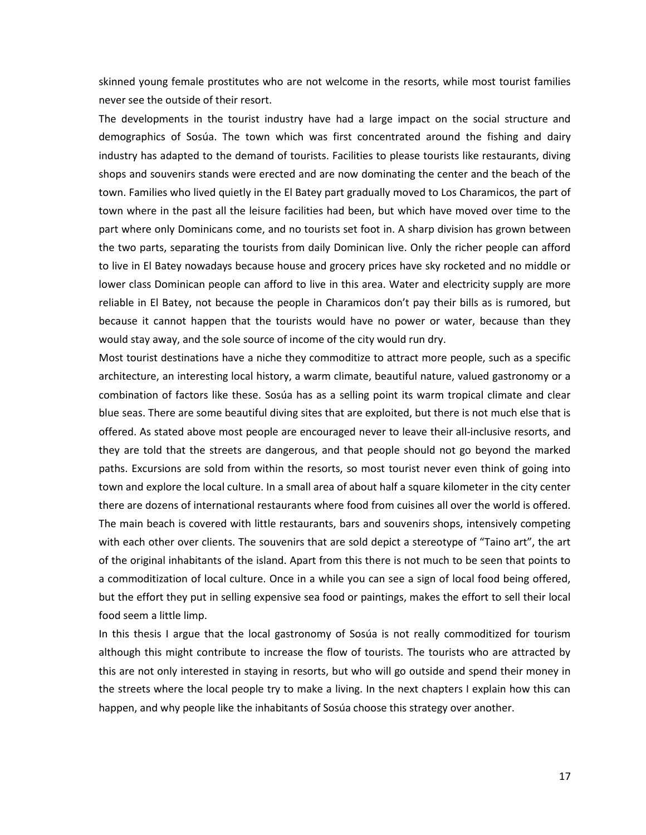skinned young female prostitutes who are not welcome in the resorts, while most tourist families never see the outside of their resort.

The developments in the tourist industry have had a large impact on the social structure and demographics of Sosúa. The town which was first concentrated around the fishing and dairy industry has adapted to the demand of tourists. Facilities to please tourists like restaurants, diving shops and souvenirs stands were erected and are now dominating the center and the beach of the town. Families who lived quietly in the El Batey part gradually moved to Los Charamicos, the part of town where in the past all the leisure facilities had been, but which have moved over time to the part where only Dominicans come, and no tourists set foot in. A sharp division has grown between the two parts, separating the tourists from daily Dominican live. Only the richer people can afford to live in El Batey nowadays because house and grocery prices have sky rocketed and no middle or lower class Dominican people can afford to live in this area. Water and electricity supply are more reliable in El Batey, not because the people in Charamicos don't pay their bills as is rumored, but because it cannot happen that the tourists would have no power or water, because than they would stay away, and the sole source of income of the city would run dry.

Most tourist destinations have a niche they commoditize to attract more people, such as a specific architecture, an interesting local history, a warm climate, beautiful nature, valued gastronomy or a combination of factors like these. Sosúa has as a selling point its warm tropical climate and clear blue seas. There are some beautiful diving sites that are exploited, but there is not much else that is offered. As stated above most people are encouraged never to leave their all-inclusive resorts, and they are told that the streets are dangerous, and that people should not go beyond the marked paths. Excursions are sold from within the resorts, so most tourist never even think of going into town and explore the local culture. In a small area of about half a square kilometer in the city center there are dozens of international restaurants where food from cuisines all over the world is offered. The main beach is covered with little restaurants, bars and souvenirs shops, intensively competing with each other over clients. The souvenirs that are sold depict a stereotype of "Taino art", the art of the original inhabitants of the island. Apart from this there is not much to be seen that points to a commoditization of local culture. Once in a while you can see a sign of local food being offered, but the effort they put in selling expensive sea food or paintings, makes the effort to sell their local food seem a little limp.

In this thesis I argue that the local gastronomy of Sosúa is not really commoditized for tourism although this might contribute to increase the flow of tourists. The tourists who are attracted by this are not only interested in staying in resorts, but who will go outside and spend their money in the streets where the local people try to make a living. In the next chapters I explain how this can happen, and why people like the inhabitants of Sosúa choose this strategy over another.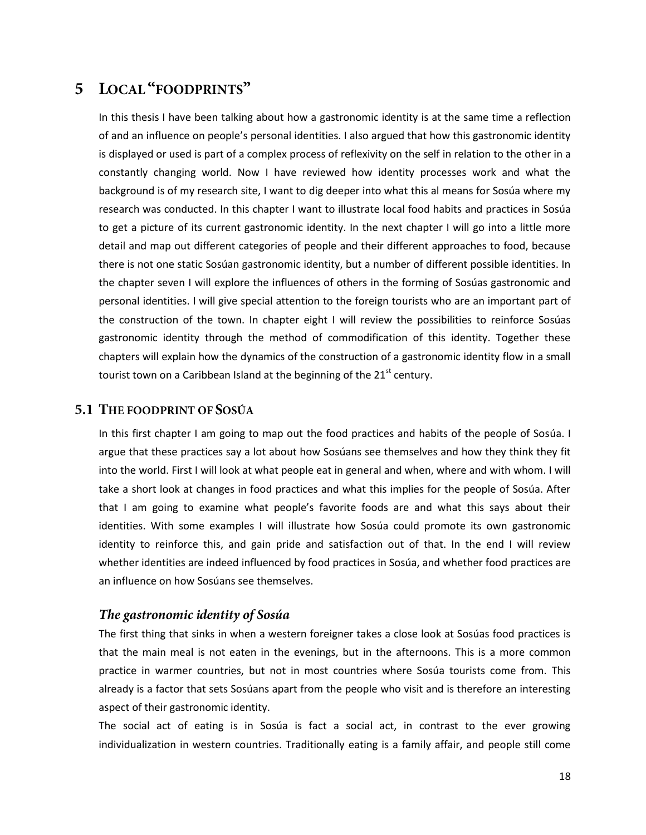# <span id="page-22-0"></span>5 LOCAL "FOODPRINTS"

In this thesis I have been talking about how a gastronomic identity is at the same time a reflection of and an influence on people's personal identities. I also argued that how this gastronomic identity is displayed or used is part of a complex process of reflexivity on the self in relation to the other in a constantly changing world. Now I have reviewed how identity processes work and what the background is of my research site, I want to dig deeper into what this al means for Sosúa where my research was conducted. In this chapter I want to illustrate local food habits and practices in Sosúa to get a picture of its current gastronomic identity. In the next chapter I will go into a little more detail and map out different categories of people and their different approaches to food, because there is not one static Sosúan gastronomic identity, but a number of different possible identities. In the chapter seven I will explore the influences of others in the forming of Sosúas gastronomic and personal identities. I will give special attention to the foreign tourists who are an important part of the construction of the town. In chapter eight I will review the possibilities to reinforce Sosúas gastronomic identity through the method of commodification of this identity. Together these chapters will explain how the dynamics of the construction of a gastronomic identity flow in a small tourist town on a Caribbean Island at the beginning of the 21<sup>st</sup> century.

#### <span id="page-22-1"></span>**5.1 THE FOODPRINT OF SOSUA**

In this first chapter I am going to map out the food practices and habits of the people of Sosúa. I argue that these practices say a lot about how Sosúans see themselves and how they think they fit into the world. First I will look at what people eat in general and when, where and with whom. I will take a short look at changes in food practices and what this implies for the people of Sosúa. After that I am going to examine what people's favorite foods are and what this says about their identities. With some examples I will illustrate how Sosúa could promote its own gastronomic identity to reinforce this, and gain pride and satisfaction out of that. In the end I will review whether identities are indeed influenced by food practices in Sosúa, and whether food practices are an influence on how Sosúans see themselves.

#### <span id="page-22-2"></span>The gastronomic identity of Sosúa

The first thing that sinks in when a western foreigner takes a close look at Sosúas food practices is that the main meal is not eaten in the evenings, but in the afternoons. This is a more common practice in warmer countries, but not in most countries where Sosúa tourists come from. This already is a factor that sets Sosúans apart from the people who visit and is therefore an interesting aspect of their gastronomic identity.

The social act of eating is in Sosúa is fact a social act, in contrast to the ever growing individualization in western countries. Traditionally eating is a family affair, and people still come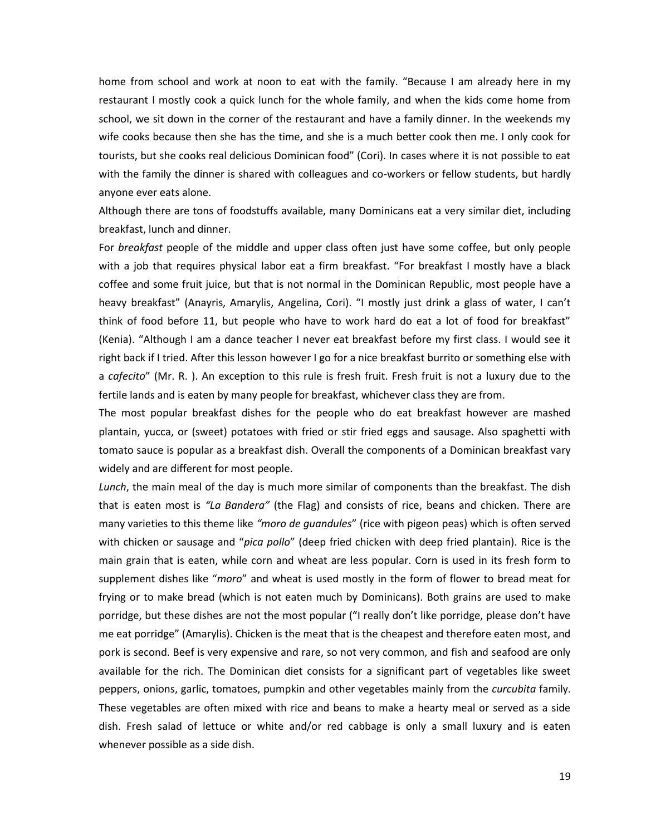home from school and work at noon to eat with the family. "Because I am already here in my restaurant I mostly cook a quick lunch for the whole family, and when the kids come home from school, we sit down in the corner of the restaurant and have a family dinner. In the weekends my wife cooks because then she has the time, and she is a much better cook then me. I only cook for tourists, but she cooks real delicious Dominican food" (Cori). In cases where it is not possible to eat with the family the dinner is shared with colleagues and co-workers or fellow students, but hardly anyone ever eats alone.

Although there are tons of foodstuffs available, many Dominicans eat a very similar diet, including breakfast, lunch and dinner.

For *breakfast* people of the middle and upper class often just have some coffee, but only people with a job that requires physical labor eat a firm breakfast. "For breakfast I mostly have a black coffee and some fruit juice, but that is not normal in the Dominican Republic, most people have a heavy breakfast" (Anayris, Amarylis, Angelina, Cori). "I mostly just drink a glass of water, I can't think of food before 11, but people who have to work hard do eat a lot of food for breakfast" (Kenia). "Although I am a dance teacher I never eat breakfast before my first class. I would see it right back if I tried. After this lesson however I go for a nice breakfast burrito or something else with a *cafecito*" (Mr. R. ). An exception to this rule is fresh fruit. Fresh fruit is not a luxury due to the fertile lands and is eaten by many people for breakfast, whichever class they are from.

The most popular breakfast dishes for the people who do eat breakfast however are mashed plantain, yucca, or (sweet) potatoes with fried or stir fried eggs and sausage. Also spaghetti with tomato sauce is popular as a breakfast dish. Overall the components of a Dominican breakfast vary widely and are different for most people.

*Lunch*, the main meal of the day is much more similar of components than the breakfast. The dish that is eaten most is *"La Bandera"* (the Flag) and consists of rice, beans and chicken. There are many varieties to this theme like *"moro de guandules*" (rice with pigeon peas) which is often served with chicken or sausage and "*pica pollo*" (deep fried chicken with deep fried plantain). Rice is the main grain that is eaten, while corn and wheat are less popular. Corn is used in its fresh form to supplement dishes like "*moro*" and wheat is used mostly in the form of flower to bread meat for frying or to make bread (which is not eaten much by Dominicans). Both grains are used to make porridge, but these dishes are not the most popular ("I really don't like porridge, please don't have me eat porridge" (Amarylis). Chicken is the meat that is the cheapest and therefore eaten most, and pork is second. Beef is very expensive and rare, so not very common, and fish and seafood are only available for the rich. The Dominican diet consists for a significant part of vegetables like sweet peppers, onions, garlic, tomatoes, pumpkin and other vegetables mainly from the *curcubita* family. These vegetables are often mixed with rice and beans to make a hearty meal or served as a side dish. Fresh salad of lettuce or white and/or red cabbage is only a small luxury and is eaten whenever possible as a side dish.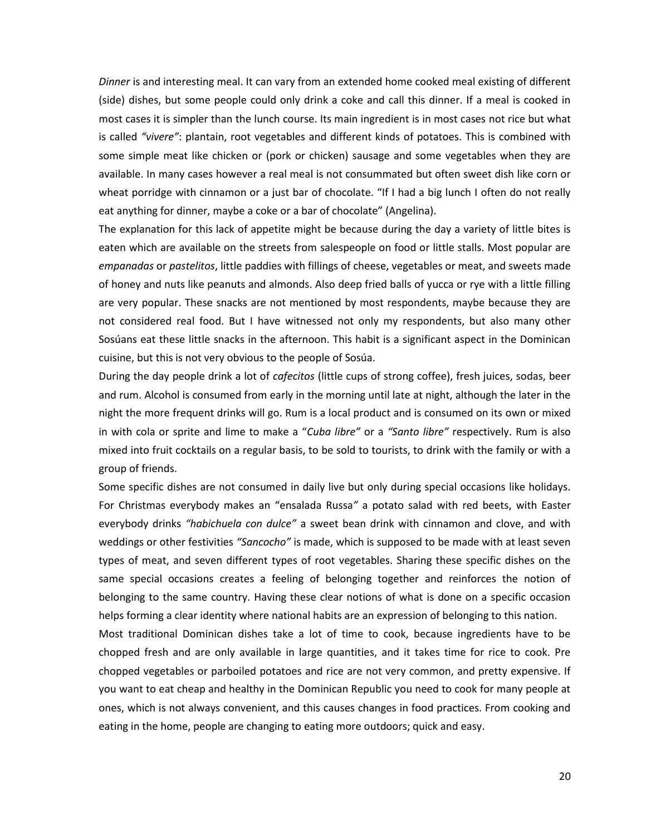*Dinner* is and interesting meal. It can vary from an extended home cooked meal existing of different (side) dishes, but some people could only drink a coke and call this dinner. If a meal is cooked in most cases it is simpler than the lunch course. Its main ingredient is in most cases not rice but what is called *"vivere"*: plantain, root vegetables and different kinds of potatoes. This is combined with some simple meat like chicken or (pork or chicken) sausage and some vegetables when they are available. In many cases however a real meal is not consummated but often sweet dish like corn or wheat porridge with cinnamon or a just bar of chocolate. "If I had a big lunch I often do not really eat anything for dinner, maybe a coke or a bar of chocolate" (Angelina).

The explanation for this lack of appetite might be because during the day a variety of little bites is eaten which are available on the streets from salespeople on food or little stalls. Most popular are *empanadas* or *pastelitos*, little paddies with fillings of cheese, vegetables or meat, and sweets made of honey and nuts like peanuts and almonds. Also deep fried balls of yucca or rye with a little filling are very popular. These snacks are not mentioned by most respondents, maybe because they are not considered real food. But I have witnessed not only my respondents, but also many other Sosúans eat these little snacks in the afternoon. This habit is a significant aspect in the Dominican cuisine, but this is not very obvious to the people of Sosúa.

During the day people drink a lot of *cafecitos* (little cups of strong coffee), fresh juices, sodas, beer and rum. Alcohol is consumed from early in the morning until late at night, although the later in the night the more frequent drinks will go. Rum is a local product and is consumed on its own or mixed in with cola or sprite and lime to make a "*Cuba libre"* or a *"Santo libre"* respectively. Rum is also mixed into fruit cocktails on a regular basis, to be sold to tourists, to drink with the family or with a group of friends.

Some specific dishes are not consumed in daily live but only during special occasions like holidays. For Christmas everybody makes an "ensalada Russa*"* a potato salad with red beets, with Easter everybody drinks *"habichuela con dulce"* a sweet bean drink with cinnamon and clove, and with weddings or other festivities *"Sancocho"* is made, which is supposed to be made with at least seven types of meat, and seven different types of root vegetables. Sharing these specific dishes on the same special occasions creates a feeling of belonging together and reinforces the notion of belonging to the same country. Having these clear notions of what is done on a specific occasion helps forming a clear identity where national habits are an expression of belonging to this nation.

Most traditional Dominican dishes take a lot of time to cook, because ingredients have to be chopped fresh and are only available in large quantities, and it takes time for rice to cook. Pre chopped vegetables or parboiled potatoes and rice are not very common, and pretty expensive. If you want to eat cheap and healthy in the Dominican Republic you need to cook for many people at ones, which is not always convenient, and this causes changes in food practices. From cooking and eating in the home, people are changing to eating more outdoors; quick and easy.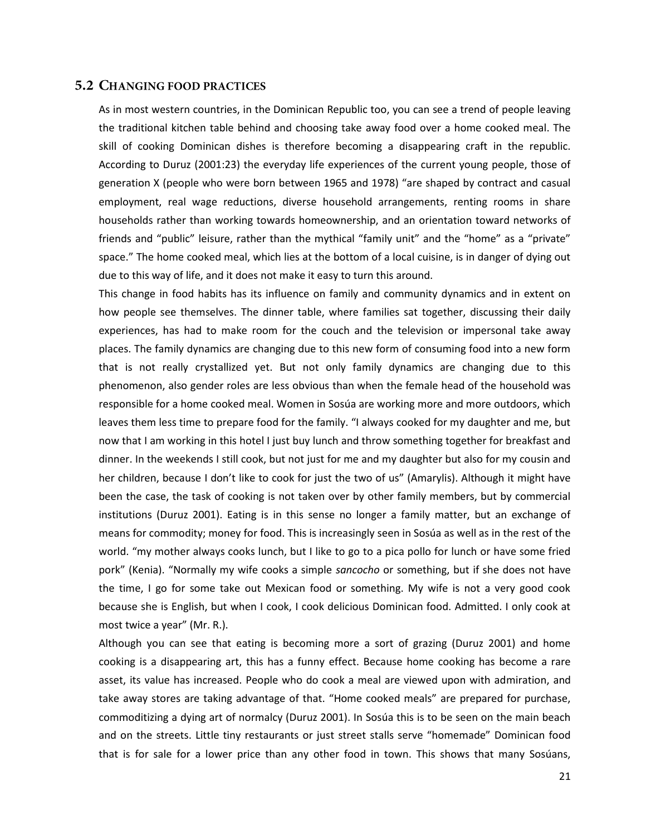#### <span id="page-25-0"></span>**5.2 CHANGING FOOD PRACTICES**

As in most western countries, in the Dominican Republic too, you can see a trend of people leaving the traditional kitchen table behind and choosing take away food over a home cooked meal. The skill of cooking Dominican dishes is therefore becoming a disappearing craft in the republic. According to Duruz (2001:23) the everyday life experiences of the current young people, those of generation X (people who were born between 1965 and 1978) "are shaped by contract and casual employment, real wage reductions, diverse household arrangements, renting rooms in share households rather than working towards homeownership, and an orientation toward networks of friends and "public" leisure, rather than the mythical "family unit" and the "home" as a "private" space." The home cooked meal, which lies at the bottom of a local cuisine, is in danger of dying out due to this way of life, and it does not make it easy to turn this around.

This change in food habits has its influence on family and community dynamics and in extent on how people see themselves. The dinner table, where families sat together, discussing their daily experiences, has had to make room for the couch and the television or impersonal take away places. The family dynamics are changing due to this new form of consuming food into a new form that is not really crystallized yet. But not only family dynamics are changing due to this phenomenon, also gender roles are less obvious than when the female head of the household was responsible for a home cooked meal. Women in Sosúa are working more and more outdoors, which leaves them less time to prepare food for the family. "I always cooked for my daughter and me, but now that I am working in this hotel I just buy lunch and throw something together for breakfast and dinner. In the weekends I still cook, but not just for me and my daughter but also for my cousin and her children, because I don't like to cook for just the two of us" (Amarylis). Although it might have been the case, the task of cooking is not taken over by other family members, but by commercial institutions (Duruz 2001). Eating is in this sense no longer a family matter, but an exchange of means for commodity; money for food. This is increasingly seen in Sosúa as well as in the rest of the world. "my mother always cooks lunch, but I like to go to a pica pollo for lunch or have some fried pork" (Kenia). "Normally my wife cooks a simple *sancocho* or something, but if she does not have the time, I go for some take out Mexican food or something. My wife is not a very good cook because she is English, but when I cook, I cook delicious Dominican food. Admitted. I only cook at most twice a year" (Mr. R.).

Although you can see that eating is becoming more a sort of grazing (Duruz 2001) and home cooking is a disappearing art, this has a funny effect. Because home cooking has become a rare asset, its value has increased. People who do cook a meal are viewed upon with admiration, and take away stores are taking advantage of that. "Home cooked meals" are prepared for purchase, commoditizing a dying art of normalcy (Duruz 2001). In Sosúa this is to be seen on the main beach and on the streets. Little tiny restaurants or just street stalls serve "homemade" Dominican food that is for sale for a lower price than any other food in town. This shows that many Sosúans,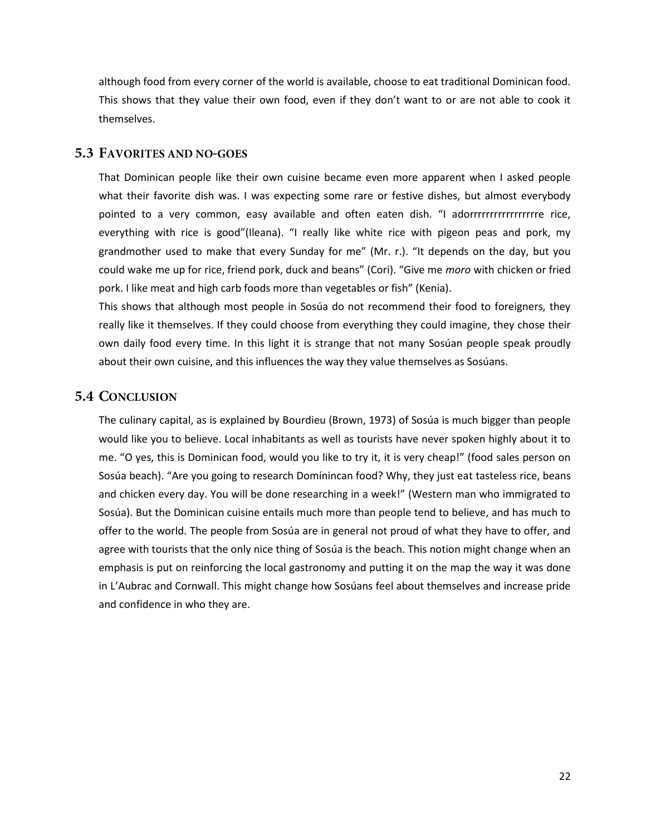although food from every corner of the world is available, choose to eat traditional Dominican food. This shows that they value their own food, even if they don't want to or are not able to cook it themselves.

#### <span id="page-26-0"></span>**5.3 FAVORITES AND NO-GOES**

That Dominican people like their own cuisine became even more apparent when I asked people what their favorite dish was. I was expecting some rare or festive dishes, but almost everybody pointed to a very common, easy available and often eaten dish. "I adorrrrrrrrrrrrrrrrre rice, everything with rice is good"(Ileana). "I really like white rice with pigeon peas and pork, my grandmother used to make that every Sunday for me" (Mr. r.). "It depends on the day, but you could wake me up for rice, friend pork, duck and beans" (Cori). "Give me *moro* with chicken or fried pork. I like meat and high carb foods more than vegetables or fish" (Kenia).

This shows that although most people in Sosúa do not recommend their food to foreigners, they really like it themselves. If they could choose from everything they could imagine, they chose their own daily food every time. In this light it is strange that not many Sosúan people speak proudly about their own cuisine, and this influences the way they value themselves as Sosúans.

#### <span id="page-26-1"></span>**5.4 CONCLUSION**

The culinary capital, as is explained by Bourdieu (Brown, 1973) of Sosúa is much bigger than people would like you to believe. Local inhabitants as well as tourists have never spoken highly about it to me. "O yes, this is Dominican food, would you like to try it, it is very cheap!" (food sales person on Sosúa beach). "Are you going to research Domínincan food? Why, they just eat tasteless rice, beans and chicken every day. You will be done researching in a week!" (Western man who immigrated to Sosúa). But the Dominican cuisine entails much more than people tend to believe, and has much to offer to the world. The people from Sosúa are in general not proud of what they have to offer, and agree with tourists that the only nice thing of Sosúa is the beach. This notion might change when an emphasis is put on reinforcing the local gastronomy and putting it on the map the way it was done in L'Aubrac and Cornwall. This might change how Sosúans feel about themselves and increase pride and confidence in who they are.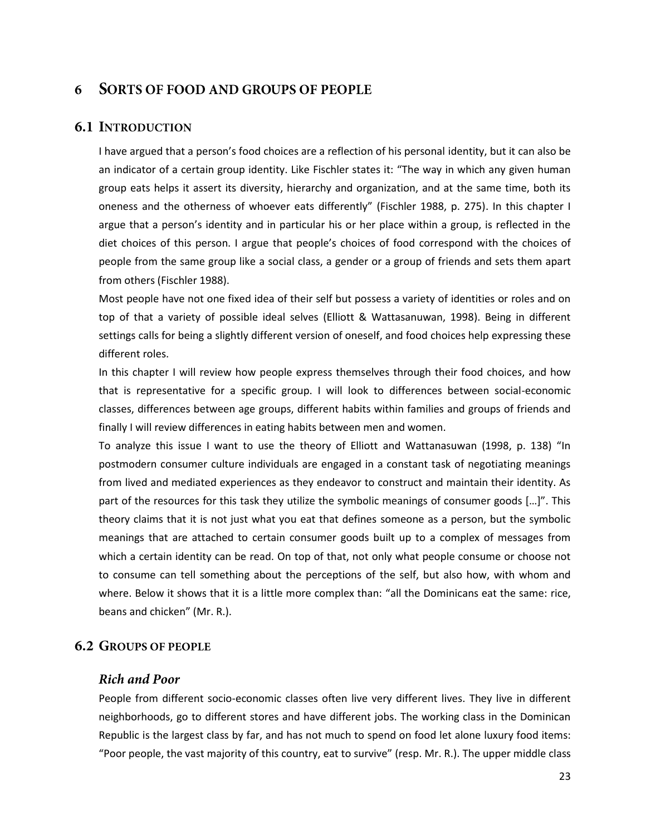#### <span id="page-27-0"></span>**SORTS OF FOOD AND GROUPS OF PEOPLE** 6

#### <span id="page-27-1"></span>**6.1 INTRODUCTION**

I have argued that a person's food choices are a reflection of his personal identity, but it can also be an indicator of a certain group identity. Like Fischler states it: "The way in which any given human group eats helps it assert its diversity, hierarchy and organization, and at the same time, both its oneness and the otherness of whoever eats differently" (Fischler 1988, p. 275). In this chapter I argue that a person's identity and in particular his or her place within a group, is reflected in the diet choices of this person. I argue that people's choices of food correspond with the choices of people from the same group like a social class, a gender or a group of friends and sets them apart from others (Fischler 1988).

Most people have not one fixed idea of their self but possess a variety of identities or roles and on top of that a variety of possible ideal selves (Elliott & Wattasanuwan, 1998). Being in different settings calls for being a slightly different version of oneself, and food choices help expressing these different roles.

In this chapter I will review how people express themselves through their food choices, and how that is representative for a specific group. I will look to differences between social-economic classes, differences between age groups, different habits within families and groups of friends and finally I will review differences in eating habits between men and women.

To analyze this issue I want to use the theory of Elliott and Wattanasuwan (1998, p. 138) "In postmodern consumer culture individuals are engaged in a constant task of negotiating meanings from lived and mediated experiences as they endeavor to construct and maintain their identity. As part of the resources for this task they utilize the symbolic meanings of consumer goods […]". This theory claims that it is not just what you eat that defines someone as a person, but the symbolic meanings that are attached to certain consumer goods built up to a complex of messages from which a certain identity can be read. On top of that, not only what people consume or choose not to consume can tell something about the perceptions of the self, but also how, with whom and where. Below it shows that it is a little more complex than: "all the Dominicans eat the same: rice, beans and chicken" (Mr. R.).

#### <span id="page-27-3"></span><span id="page-27-2"></span>**6.2 GROUPS OF PEOPLE**

#### **Rich and Poor**

People from different socio-economic classes often live very different lives. They live in different neighborhoods, go to different stores and have different jobs. The working class in the Dominican Republic is the largest class by far, and has not much to spend on food let alone luxury food items: "Poor people, the vast majority of this country, eat to survive" (resp. Mr. R.). The upper middle class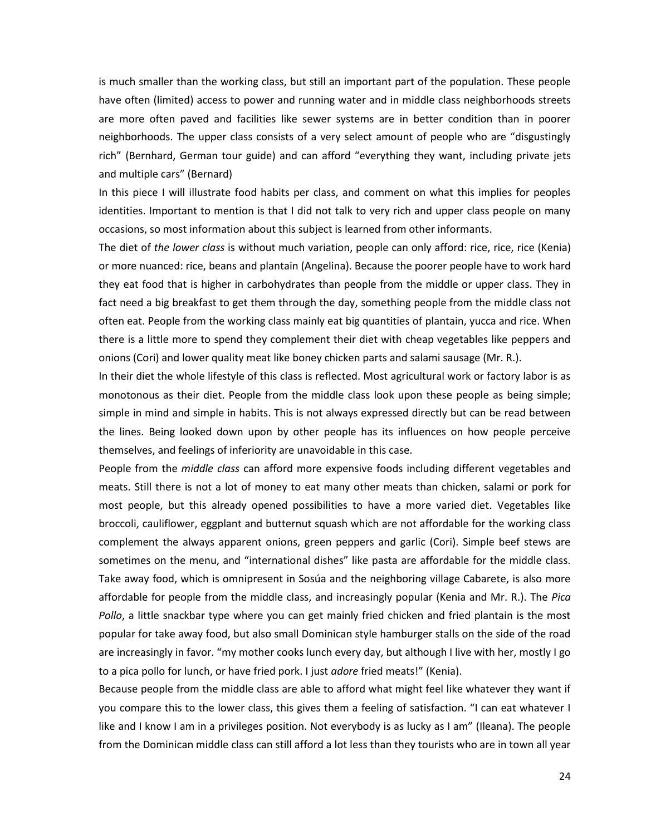is much smaller than the working class, but still an important part of the population. These people have often (limited) access to power and running water and in middle class neighborhoods streets are more often paved and facilities like sewer systems are in better condition than in poorer neighborhoods. The upper class consists of a very select amount of people who are "disgustingly rich" (Bernhard, German tour guide) and can afford "everything they want, including private jets and multiple cars" (Bernard)

In this piece I will illustrate food habits per class, and comment on what this implies for peoples identities. Important to mention is that I did not talk to very rich and upper class people on many occasions, so most information about this subject is learned from other informants.

The diet of *the lower class* is without much variation, people can only afford: rice, rice, rice (Kenia) or more nuanced: rice, beans and plantain (Angelina). Because the poorer people have to work hard they eat food that is higher in carbohydrates than people from the middle or upper class. They in fact need a big breakfast to get them through the day, something people from the middle class not often eat. People from the working class mainly eat big quantities of plantain, yucca and rice. When there is a little more to spend they complement their diet with cheap vegetables like peppers and onions (Cori) and lower quality meat like boney chicken parts and salami sausage (Mr. R.).

In their diet the whole lifestyle of this class is reflected. Most agricultural work or factory labor is as monotonous as their diet. People from the middle class look upon these people as being simple; simple in mind and simple in habits. This is not always expressed directly but can be read between the lines. Being looked down upon by other people has its influences on how people perceive themselves, and feelings of inferiority are unavoidable in this case.

People from the *middle class* can afford more expensive foods including different vegetables and meats. Still there is not a lot of money to eat many other meats than chicken, salami or pork for most people, but this already opened possibilities to have a more varied diet. Vegetables like broccoli, cauliflower, eggplant and butternut squash which are not affordable for the working class complement the always apparent onions, green peppers and garlic (Cori). Simple beef stews are sometimes on the menu, and "international dishes" like pasta are affordable for the middle class. Take away food, which is omnipresent in Sosúa and the neighboring village Cabarete, is also more affordable for people from the middle class, and increasingly popular (Kenia and Mr. R.). The *Pica Pollo*, a little snackbar type where you can get mainly fried chicken and fried plantain is the most popular for take away food, but also small Dominican style hamburger stalls on the side of the road are increasingly in favor. "my mother cooks lunch every day, but although I live with her, mostly I go to a pica pollo for lunch, or have fried pork. I just *adore* fried meats!" (Kenia).

Because people from the middle class are able to afford what might feel like whatever they want if you compare this to the lower class, this gives them a feeling of satisfaction. "I can eat whatever I like and I know I am in a privileges position. Not everybody is as lucky as I am" (Ileana). The people from the Dominican middle class can still afford a lot less than they tourists who are in town all year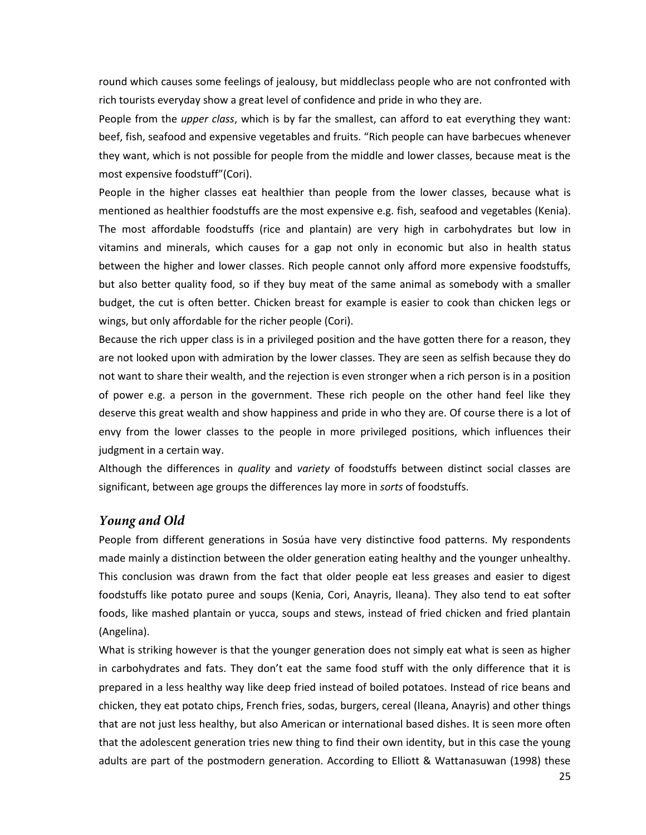round which causes some feelings of jealousy, but middleclass people who are not confronted with rich tourists everyday show a great level of confidence and pride in who they are.

People from the *upper class*, which is by far the smallest, can afford to eat everything they want: beef, fish, seafood and expensive vegetables and fruits. "Rich people can have barbecues whenever they want, which is not possible for people from the middle and lower classes, because meat is the most expensive foodstuff"(Cori).

People in the higher classes eat healthier than people from the lower classes, because what is mentioned as healthier foodstuffs are the most expensive e.g. fish, seafood and vegetables (Kenia). The most affordable foodstuffs (rice and plantain) are very high in carbohydrates but low in vitamins and minerals, which causes for a gap not only in economic but also in health status between the higher and lower classes. Rich people cannot only afford more expensive foodstuffs, but also better quality food, so if they buy meat of the same animal as somebody with a smaller budget, the cut is often better. Chicken breast for example is easier to cook than chicken legs or wings, but only affordable for the richer people (Cori).

Because the rich upper class is in a privileged position and the have gotten there for a reason, they are not looked upon with admiration by the lower classes. They are seen as selfish because they do not want to share their wealth, and the rejection is even stronger when a rich person is in a position of power e.g. a person in the government. These rich people on the other hand feel like they deserve this great wealth and show happiness and pride in who they are. Of course there is a lot of envy from the lower classes to the people in more privileged positions, which influences their judgment in a certain way.

Although the differences in *quality* and *variety* of foodstuffs between distinct social classes are significant, between age groups the differences lay more in *sorts* of foodstuffs.

#### <span id="page-29-0"></span>Young and Old

People from different generations in Sosúa have very distinctive food patterns. My respondents made mainly a distinction between the older generation eating healthy and the younger unhealthy. This conclusion was drawn from the fact that older people eat less greases and easier to digest foodstuffs like potato puree and soups (Kenia, Cori, Anayris, Ileana). They also tend to eat softer foods, like mashed plantain or yucca, soups and stews, instead of fried chicken and fried plantain (Angelina).

What is striking however is that the younger generation does not simply eat what is seen as higher in carbohydrates and fats. They don't eat the same food stuff with the only difference that it is prepared in a less healthy way like deep fried instead of boiled potatoes. Instead of rice beans and chicken, they eat potato chips, French fries, sodas, burgers, cereal (Ileana, Anayris) and other things that are not just less healthy, but also American or international based dishes. It is seen more often that the adolescent generation tries new thing to find their own identity, but in this case the young adults are part of the postmodern generation. According to Elliott & Wattanasuwan (1998) these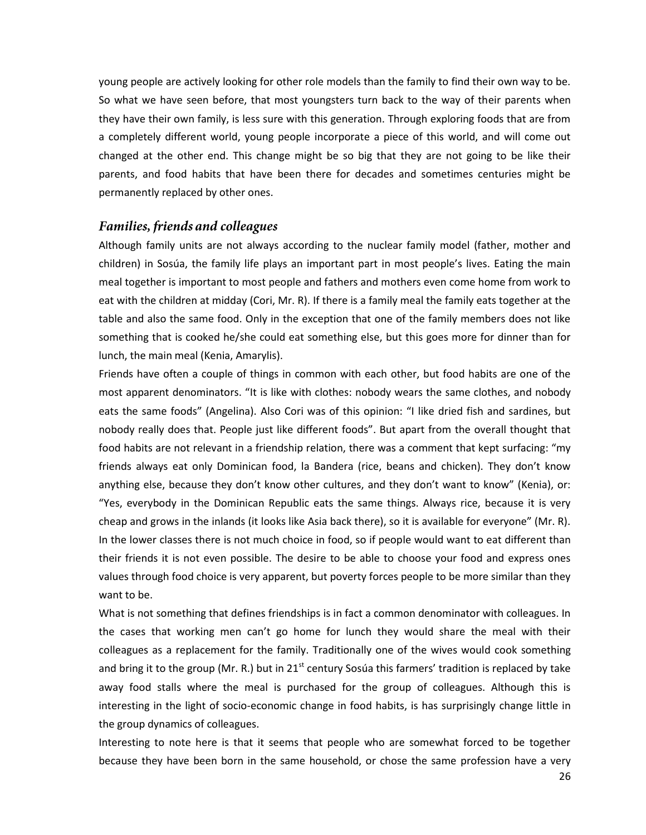young people are actively looking for other role models than the family to find their own way to be. So what we have seen before, that most youngsters turn back to the way of their parents when they have their own family, is less sure with this generation. Through exploring foods that are from a completely different world, young people incorporate a piece of this world, and will come out changed at the other end. This change might be so big that they are not going to be like their parents, and food habits that have been there for decades and sometimes centuries might be permanently replaced by other ones.

#### <span id="page-30-0"></span>**Families, friends and colleagues**

Although family units are not always according to the nuclear family model (father, mother and children) in Sosúa, the family life plays an important part in most people's lives. Eating the main meal together is important to most people and fathers and mothers even come home from work to eat with the children at midday (Cori, Mr. R). If there is a family meal the family eats together at the table and also the same food. Only in the exception that one of the family members does not like something that is cooked he/she could eat something else, but this goes more for dinner than for lunch, the main meal (Kenia, Amarylis).

Friends have often a couple of things in common with each other, but food habits are one of the most apparent denominators. "It is like with clothes: nobody wears the same clothes, and nobody eats the same foods" (Angelina). Also Cori was of this opinion: "I like dried fish and sardines, but nobody really does that. People just like different foods". But apart from the overall thought that food habits are not relevant in a friendship relation, there was a comment that kept surfacing: "my friends always eat only Dominican food, la Bandera (rice, beans and chicken). They don't know anything else, because they don't know other cultures, and they don't want to know" (Kenia), or: "Yes, everybody in the Dominican Republic eats the same things. Always rice, because it is very cheap and grows in the inlands (it looks like Asia back there), so it is available for everyone" (Mr. R). In the lower classes there is not much choice in food, so if people would want to eat different than their friends it is not even possible. The desire to be able to choose your food and express ones values through food choice is very apparent, but poverty forces people to be more similar than they want to be.

What is not something that defines friendships is in fact a common denominator with colleagues. In the cases that working men can't go home for lunch they would share the meal with their colleagues as a replacement for the family. Traditionally one of the wives would cook something and bring it to the group (Mr. R.) but in 21<sup>st</sup> century Sosúa this farmers' tradition is replaced by take away food stalls where the meal is purchased for the group of colleagues. Although this is interesting in the light of socio-economic change in food habits, is has surprisingly change little in the group dynamics of colleagues.

Interesting to note here is that it seems that people who are somewhat forced to be together because they have been born in the same household, or chose the same profession have a very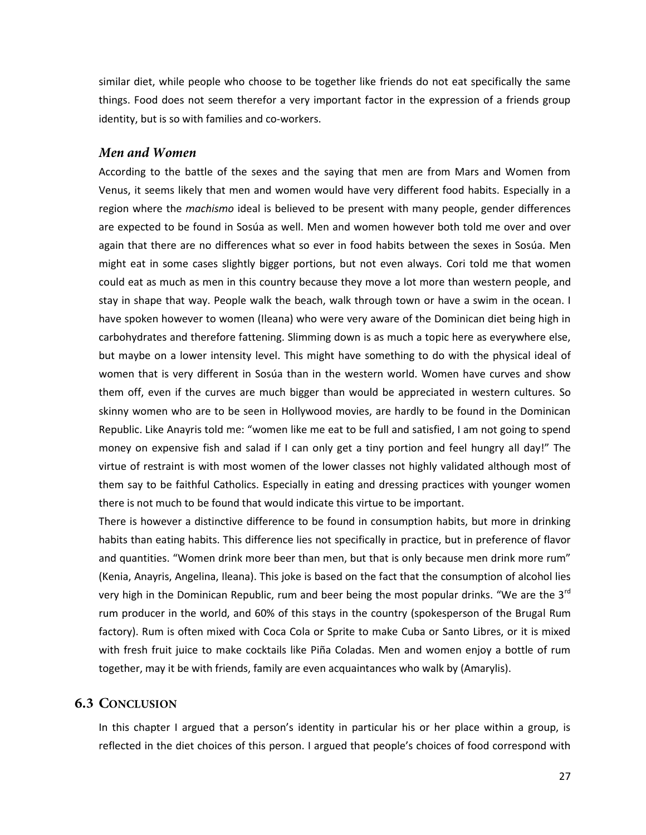similar diet, while people who choose to be together like friends do not eat specifically the same things. Food does not seem therefor a very important factor in the expression of a friends group identity, but is so with families and co-workers.

#### <span id="page-31-0"></span>Men and Women

According to the battle of the sexes and the saying that men are from Mars and Women from Venus, it seems likely that men and women would have very different food habits. Especially in a region where the *machismo* ideal is believed to be present with many people, gender differences are expected to be found in Sosúa as well. Men and women however both told me over and over again that there are no differences what so ever in food habits between the sexes in Sosúa. Men might eat in some cases slightly bigger portions, but not even always. Cori told me that women could eat as much as men in this country because they move a lot more than western people, and stay in shape that way. People walk the beach, walk through town or have a swim in the ocean. I have spoken however to women (Ileana) who were very aware of the Dominican diet being high in carbohydrates and therefore fattening. Slimming down is as much a topic here as everywhere else, but maybe on a lower intensity level. This might have something to do with the physical ideal of women that is very different in Sosúa than in the western world. Women have curves and show them off, even if the curves are much bigger than would be appreciated in western cultures. So skinny women who are to be seen in Hollywood movies, are hardly to be found in the Dominican Republic. Like Anayris told me: "women like me eat to be full and satisfied, I am not going to spend money on expensive fish and salad if I can only get a tiny portion and feel hungry all day!" The virtue of restraint is with most women of the lower classes not highly validated although most of them say to be faithful Catholics. Especially in eating and dressing practices with younger women there is not much to be found that would indicate this virtue to be important.

There is however a distinctive difference to be found in consumption habits, but more in drinking habits than eating habits. This difference lies not specifically in practice, but in preference of flavor and quantities. "Women drink more beer than men, but that is only because men drink more rum" (Kenia, Anayris, Angelina, Ileana). This joke is based on the fact that the consumption of alcohol lies very high in the Dominican Republic, rum and beer being the most popular drinks. "We are the  $3^{rd}$ rum producer in the world, and 60% of this stays in the country (spokesperson of the Brugal Rum factory). Rum is often mixed with Coca Cola or Sprite to make Cuba or Santo Libres, or it is mixed with fresh fruit juice to make cocktails like Piña Coladas. Men and women enjoy a bottle of rum together, may it be with friends, family are even acquaintances who walk by (Amarylis).

#### <span id="page-31-1"></span>**6.3 CONCLUSION**

In this chapter I argued that a person's identity in particular his or her place within a group, is reflected in the diet choices of this person. I argued that people's choices of food correspond with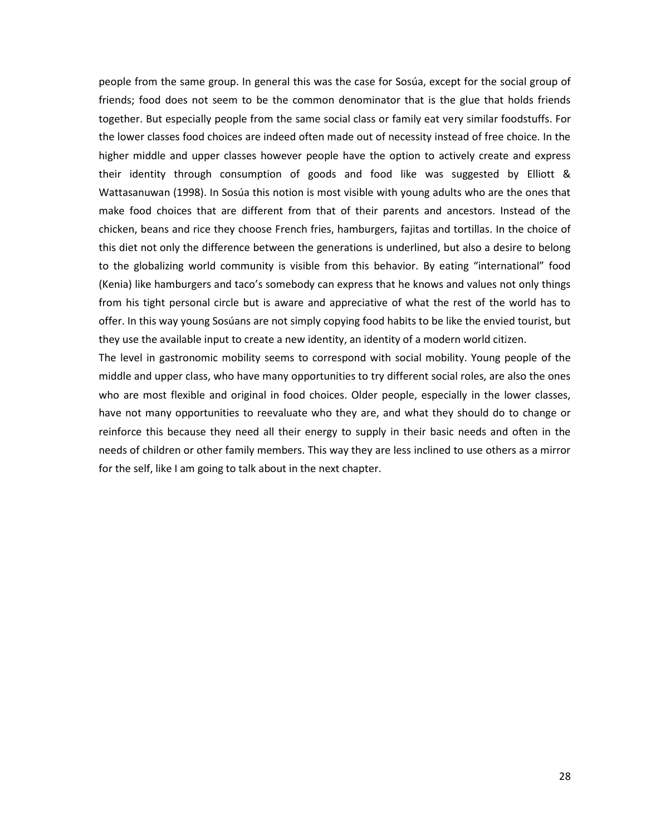people from the same group. In general this was the case for Sosúa, except for the social group of friends; food does not seem to be the common denominator that is the glue that holds friends together. But especially people from the same social class or family eat very similar foodstuffs. For the lower classes food choices are indeed often made out of necessity instead of free choice. In the higher middle and upper classes however people have the option to actively create and express their identity through consumption of goods and food like was suggested by Elliott & Wattasanuwan (1998). In Sosúa this notion is most visible with young adults who are the ones that make food choices that are different from that of their parents and ancestors. Instead of the chicken, beans and rice they choose French fries, hamburgers, fajitas and tortillas. In the choice of this diet not only the difference between the generations is underlined, but also a desire to belong to the globalizing world community is visible from this behavior. By eating "international" food (Kenia) like hamburgers and taco's somebody can express that he knows and values not only things from his tight personal circle but is aware and appreciative of what the rest of the world has to offer. In this way young Sosúans are not simply copying food habits to be like the envied tourist, but they use the available input to create a new identity, an identity of a modern world citizen.

The level in gastronomic mobility seems to correspond with social mobility. Young people of the middle and upper class, who have many opportunities to try different social roles, are also the ones who are most flexible and original in food choices. Older people, especially in the lower classes, have not many opportunities to reevaluate who they are, and what they should do to change or reinforce this because they need all their energy to supply in their basic needs and often in the needs of children or other family members. This way they are less inclined to use others as a mirror for the self, like I am going to talk about in the next chapter.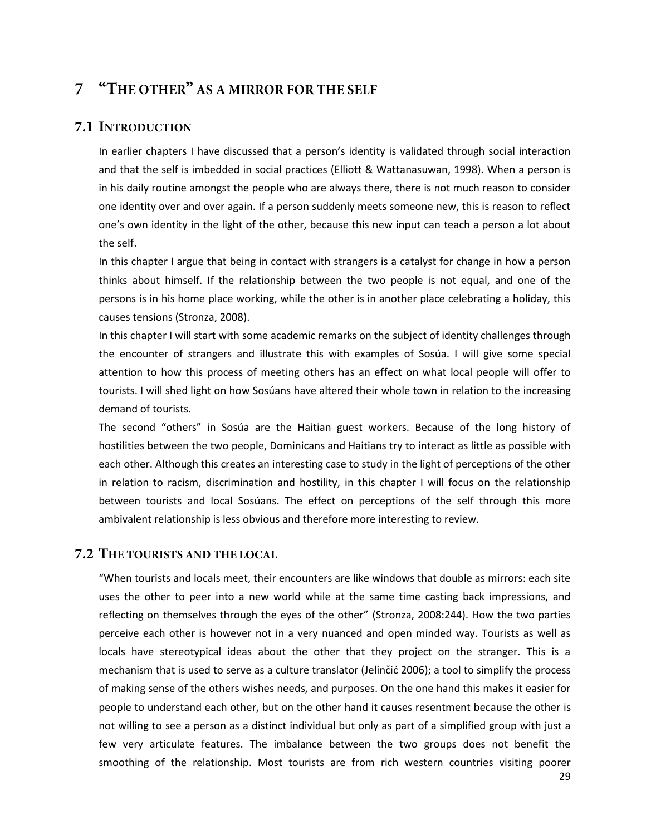# <span id="page-33-0"></span>7 "THE OTHER" AS A MIRROR FOR THE SELF

#### <span id="page-33-1"></span>7.1 INTRODUCTION

In earlier chapters I have discussed that a person's identity is validated through social interaction and that the self is imbedded in social practices (Elliott & Wattanasuwan, 1998). When a person is in his daily routine amongst the people who are always there, there is not much reason to consider one identity over and over again. If a person suddenly meets someone new, this is reason to reflect one's own identity in the light of the other, because this new input can teach a person a lot about the self.

In this chapter I argue that being in contact with strangers is a catalyst for change in how a person thinks about himself. If the relationship between the two people is not equal, and one of the persons is in his home place working, while the other is in another place celebrating a holiday, this causes tensions (Stronza, 2008).

In this chapter I will start with some academic remarks on the subject of identity challenges through the encounter of strangers and illustrate this with examples of Sosúa. I will give some special attention to how this process of meeting others has an effect on what local people will offer to tourists. I will shed light on how Sosúans have altered their whole town in relation to the increasing demand of tourists.

The second "others" in Sosúa are the Haitian guest workers. Because of the long history of hostilities between the two people, Dominicans and Haitians try to interact as little as possible with each other. Although this creates an interesting case to study in the light of perceptions of the other in relation to racism, discrimination and hostility, in this chapter I will focus on the relationship between tourists and local Sosúans. The effect on perceptions of the self through this more ambivalent relationship is less obvious and therefore more interesting to review.

#### <span id="page-33-2"></span>7.2 THE TOURISTS AND THE LOCAL

"When tourists and locals meet, their encounters are like windows that double as mirrors: each site uses the other to peer into a new world while at the same time casting back impressions, and reflecting on themselves through the eyes of the other" (Stronza, 2008:244). How the two parties perceive each other is however not in a very nuanced and open minded way. Tourists as well as locals have stereotypical ideas about the other that they project on the stranger. This is a mechanism that is used to serve as a culture translator (Jelinčić 2006); a tool to simplify the process of making sense of the others wishes needs, and purposes. On the one hand this makes it easier for people to understand each other, but on the other hand it causes resentment because the other is not willing to see a person as a distinct individual but only as part of a simplified group with just a few very articulate features. The imbalance between the two groups does not benefit the smoothing of the relationship. Most tourists are from rich western countries visiting poorer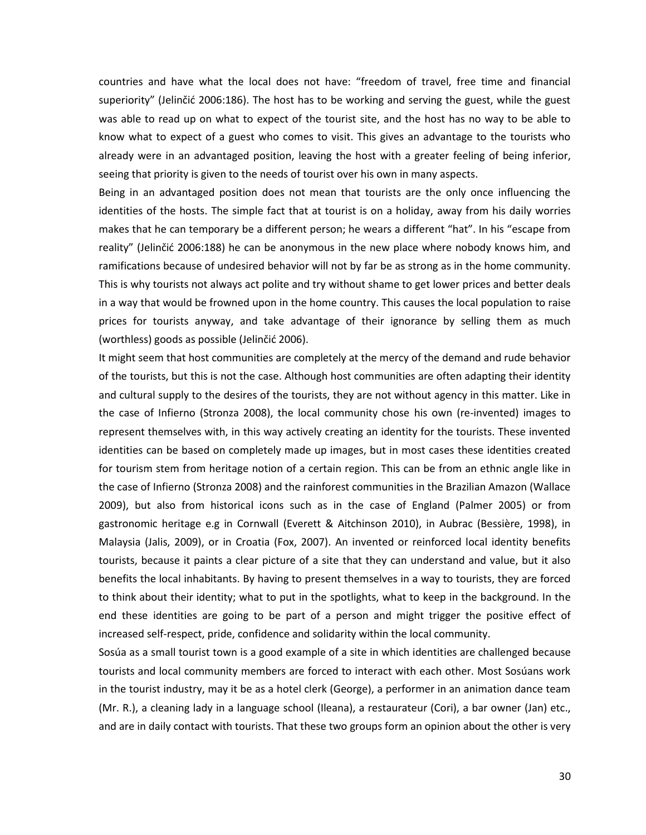countries and have what the local does not have: "freedom of travel, free time and financial superiority" (Jelinčić 2006:186). The host has to be working and serving the guest, while the guest was able to read up on what to expect of the tourist site, and the host has no way to be able to know what to expect of a guest who comes to visit. This gives an advantage to the tourists who already were in an advantaged position, leaving the host with a greater feeling of being inferior, seeing that priority is given to the needs of tourist over his own in many aspects.

Being in an advantaged position does not mean that tourists are the only once influencing the identities of the hosts. The simple fact that at tourist is on a holiday, away from his daily worries makes that he can temporary be a different person; he wears a different "hat". In his "escape from reality" (Jelinčić 2006:188) he can be anonymous in the new place where nobody knows him, and ramifications because of undesired behavior will not by far be as strong as in the home community. This is why tourists not always act polite and try without shame to get lower prices and better deals in a way that would be frowned upon in the home country. This causes the local population to raise prices for tourists anyway, and take advantage of their ignorance by selling them as much (worthless) goods as possible (Jelinčić 2006).

It might seem that host communities are completely at the mercy of the demand and rude behavior of the tourists, but this is not the case. Although host communities are often adapting their identity and cultural supply to the desires of the tourists, they are not without agency in this matter. Like in the case of Infierno (Stronza 2008), the local community chose his own (re-invented) images to represent themselves with, in this way actively creating an identity for the tourists. These invented identities can be based on completely made up images, but in most cases these identities created for tourism stem from heritage notion of a certain region. This can be from an ethnic angle like in the case of Infierno (Stronza 2008) and the rainforest communities in the Brazilian Amazon (Wallace 2009), but also from historical icons such as in the case of England (Palmer 2005) or from gastronomic heritage e.g in Cornwall (Everett & Aitchinson 2010), in Aubrac (Bessière, 1998), in Malaysia (Jalis, 2009), or in Croatia (Fox, 2007). An invented or reinforced local identity benefits tourists, because it paints a clear picture of a site that they can understand and value, but it also benefits the local inhabitants. By having to present themselves in a way to tourists, they are forced to think about their identity; what to put in the spotlights, what to keep in the background. In the end these identities are going to be part of a person and might trigger the positive effect of increased self-respect, pride, confidence and solidarity within the local community.

Sosúa as a small tourist town is a good example of a site in which identities are challenged because tourists and local community members are forced to interact with each other. Most Sosúans work in the tourist industry, may it be as a hotel clerk (George), a performer in an animation dance team (Mr. R.), a cleaning lady in a language school (Ileana), a restaurateur (Cori), a bar owner (Jan) etc., and are in daily contact with tourists. That these two groups form an opinion about the other is very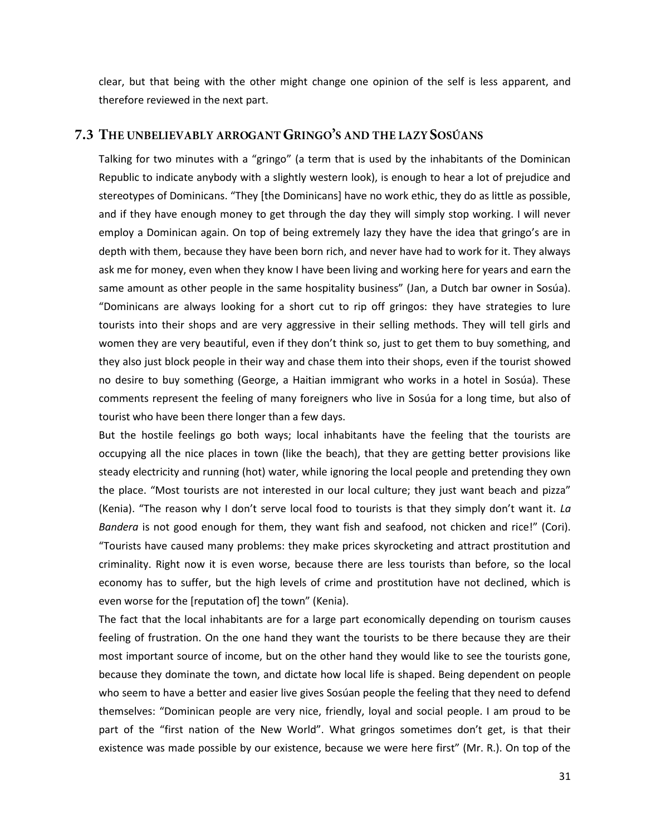clear, but that being with the other might change one opinion of the self is less apparent, and therefore reviewed in the next part.

#### <span id="page-35-0"></span>7.3 THE UNBELIEVABLY ARROGANT GRINGO'S AND THE LAZY SOSÚANS

Talking for two minutes with a "gringo" (a term that is used by the inhabitants of the Dominican Republic to indicate anybody with a slightly western look), is enough to hear a lot of prejudice and stereotypes of Dominicans. "They [the Dominicans] have no work ethic, they do as little as possible, and if they have enough money to get through the day they will simply stop working. I will never employ a Dominican again. On top of being extremely lazy they have the idea that gringo's are in depth with them, because they have been born rich, and never have had to work for it. They always ask me for money, even when they know I have been living and working here for years and earn the same amount as other people in the same hospitality business" (Jan, a Dutch bar owner in Sosúa). "Dominicans are always looking for a short cut to rip off gringos: they have strategies to lure tourists into their shops and are very aggressive in their selling methods. They will tell girls and women they are very beautiful, even if they don't think so, just to get them to buy something, and they also just block people in their way and chase them into their shops, even if the tourist showed no desire to buy something (George, a Haitian immigrant who works in a hotel in Sosúa). These comments represent the feeling of many foreigners who live in Sosúa for a long time, but also of tourist who have been there longer than a few days.

But the hostile feelings go both ways; local inhabitants have the feeling that the tourists are occupying all the nice places in town (like the beach), that they are getting better provisions like steady electricity and running (hot) water, while ignoring the local people and pretending they own the place. "Most tourists are not interested in our local culture; they just want beach and pizza" (Kenia). "The reason why I don't serve local food to tourists is that they simply don't want it. *La Bandera* is not good enough for them, they want fish and seafood, not chicken and rice!" (Cori). "Tourists have caused many problems: they make prices skyrocketing and attract prostitution and criminality. Right now it is even worse, because there are less tourists than before, so the local economy has to suffer, but the high levels of crime and prostitution have not declined, which is even worse for the [reputation of] the town" (Kenia).

The fact that the local inhabitants are for a large part economically depending on tourism causes feeling of frustration. On the one hand they want the tourists to be there because they are their most important source of income, but on the other hand they would like to see the tourists gone, because they dominate the town, and dictate how local life is shaped. Being dependent on people who seem to have a better and easier live gives Sosúan people the feeling that they need to defend themselves: "Dominican people are very nice, friendly, loyal and social people. I am proud to be part of the "first nation of the New World". What gringos sometimes don't get, is that their existence was made possible by our existence, because we were here first" (Mr. R.). On top of the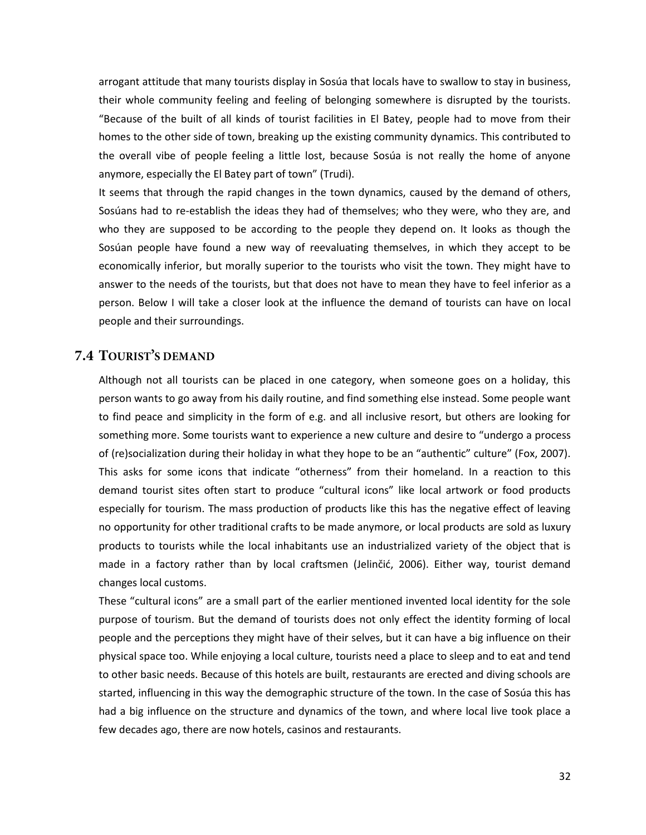arrogant attitude that many tourists display in Sosúa that locals have to swallow to stay in business, their whole community feeling and feeling of belonging somewhere is disrupted by the tourists. "Because of the built of all kinds of tourist facilities in El Batey, people had to move from their homes to the other side of town, breaking up the existing community dynamics. This contributed to the overall vibe of people feeling a little lost, because Sosúa is not really the home of anyone anymore, especially the El Batey part of town" (Trudi).

It seems that through the rapid changes in the town dynamics, caused by the demand of others, Sosúans had to re-establish the ideas they had of themselves; who they were, who they are, and who they are supposed to be according to the people they depend on. It looks as though the Sosúan people have found a new way of reevaluating themselves, in which they accept to be economically inferior, but morally superior to the tourists who visit the town. They might have to answer to the needs of the tourists, but that does not have to mean they have to feel inferior as a person. Below I will take a closer look at the influence the demand of tourists can have on local people and their surroundings.

#### <span id="page-36-0"></span>**7.4 TOURIST'S DEMAND**

Although not all tourists can be placed in one category, when someone goes on a holiday, this person wants to go away from his daily routine, and find something else instead. Some people want to find peace and simplicity in the form of e.g. and all inclusive resort, but others are looking for something more. Some tourists want to experience a new culture and desire to "undergo a process of (re)socialization during their holiday in what they hope to be an "authentic" culture" (Fox, 2007). This asks for some icons that indicate "otherness" from their homeland. In a reaction to this demand tourist sites often start to produce "cultural icons" like local artwork or food products especially for tourism. The mass production of products like this has the negative effect of leaving no opportunity for other traditional crafts to be made anymore, or local products are sold as luxury products to tourists while the local inhabitants use an industrialized variety of the object that is made in a factory rather than by local craftsmen (Jelinčić, 2006). Either way, tourist demand changes local customs.

These "cultural icons" are a small part of the earlier mentioned invented local identity for the sole purpose of tourism. But the demand of tourists does not only effect the identity forming of local people and the perceptions they might have of their selves, but it can have a big influence on their physical space too. While enjoying a local culture, tourists need a place to sleep and to eat and tend to other basic needs. Because of this hotels are built, restaurants are erected and diving schools are started, influencing in this way the demographic structure of the town. In the case of Sosúa this has had a big influence on the structure and dynamics of the town, and where local live took place a few decades ago, there are now hotels, casinos and restaurants.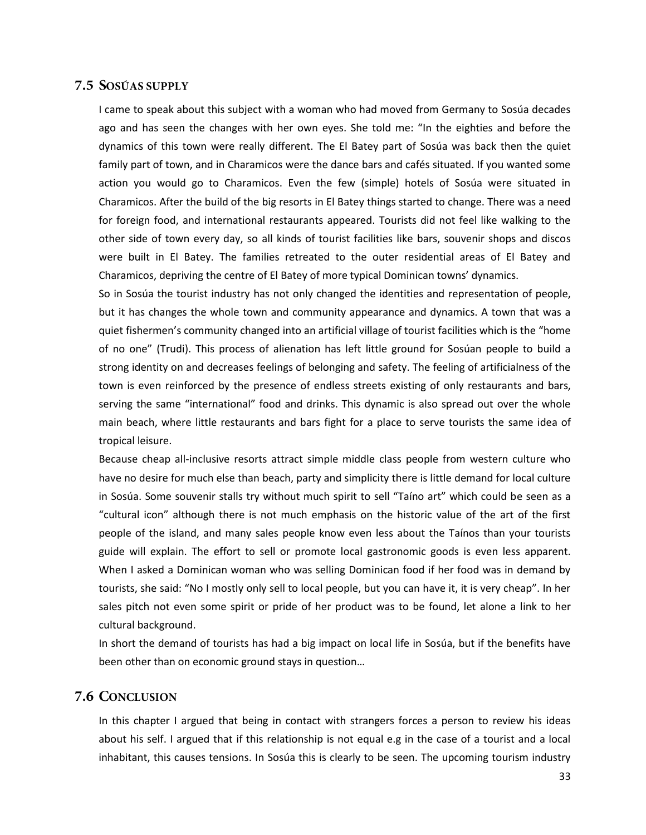#### <span id="page-37-0"></span>7.5 SOSÚAS SUPPLY

I came to speak about this subject with a woman who had moved from Germany to Sosúa decades ago and has seen the changes with her own eyes. She told me: "In the eighties and before the dynamics of this town were really different. The El Batey part of Sosúa was back then the quiet family part of town, and in Charamicos were the dance bars and cafés situated. If you wanted some action you would go to Charamicos. Even the few (simple) hotels of Sosúa were situated in Charamicos. After the build of the big resorts in El Batey things started to change. There was a need for foreign food, and international restaurants appeared. Tourists did not feel like walking to the other side of town every day, so all kinds of tourist facilities like bars, souvenir shops and discos were built in El Batey. The families retreated to the outer residential areas of El Batey and Charamicos, depriving the centre of El Batey of more typical Dominican towns' dynamics.

So in Sosúa the tourist industry has not only changed the identities and representation of people, but it has changes the whole town and community appearance and dynamics. A town that was a quiet fishermen's community changed into an artificial village of tourist facilities which is the "home of no one" (Trudi). This process of alienation has left little ground for Sosúan people to build a strong identity on and decreases feelings of belonging and safety. The feeling of artificialness of the town is even reinforced by the presence of endless streets existing of only restaurants and bars, serving the same "international" food and drinks. This dynamic is also spread out over the whole main beach, where little restaurants and bars fight for a place to serve tourists the same idea of tropical leisure.

Because cheap all-inclusive resorts attract simple middle class people from western culture who have no desire for much else than beach, party and simplicity there is little demand for local culture in Sosúa. Some souvenir stalls try without much spirit to sell "Taíno art" which could be seen as a "cultural icon" although there is not much emphasis on the historic value of the art of the first people of the island, and many sales people know even less about the Taínos than your tourists guide will explain. The effort to sell or promote local gastronomic goods is even less apparent. When I asked a Dominican woman who was selling Dominican food if her food was in demand by tourists, she said: "No I mostly only sell to local people, but you can have it, it is very cheap". In her sales pitch not even some spirit or pride of her product was to be found, let alone a link to her cultural background.

In short the demand of tourists has had a big impact on local life in Sosúa, but if the benefits have been other than on economic ground stays in question…

#### <span id="page-37-1"></span>7.6 CONCLUSION

In this chapter I argued that being in contact with strangers forces a person to review his ideas about his self. I argued that if this relationship is not equal e.g in the case of a tourist and a local inhabitant, this causes tensions. In Sosúa this is clearly to be seen. The upcoming tourism industry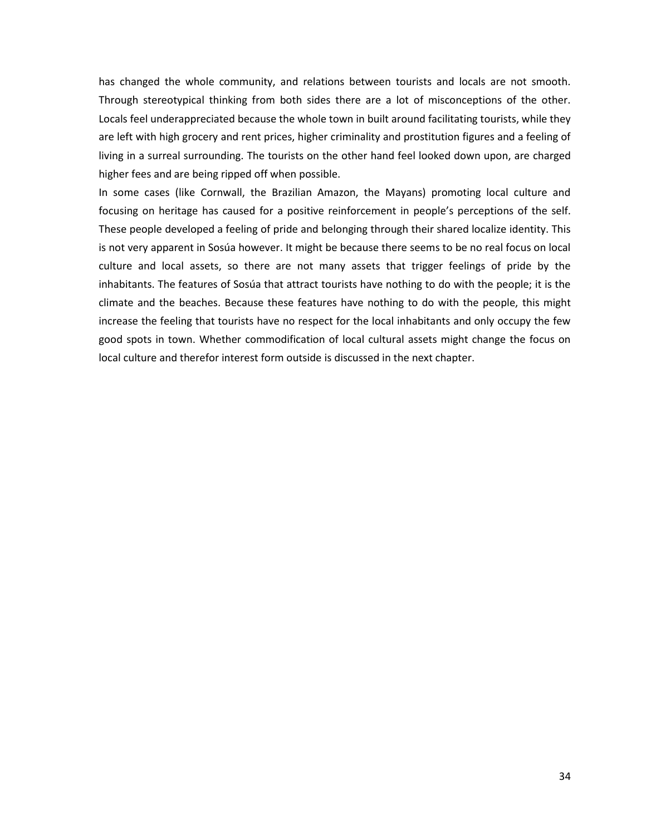has changed the whole community, and relations between tourists and locals are not smooth. Through stereotypical thinking from both sides there are a lot of misconceptions of the other. Locals feel underappreciated because the whole town in built around facilitating tourists, while they are left with high grocery and rent prices, higher criminality and prostitution figures and a feeling of living in a surreal surrounding. The tourists on the other hand feel looked down upon, are charged higher fees and are being ripped off when possible.

In some cases (like Cornwall, the Brazilian Amazon, the Mayans) promoting local culture and focusing on heritage has caused for a positive reinforcement in people's perceptions of the self. These people developed a feeling of pride and belonging through their shared localize identity. This is not very apparent in Sosúa however. It might be because there seems to be no real focus on local culture and local assets, so there are not many assets that trigger feelings of pride by the inhabitants. The features of Sosúa that attract tourists have nothing to do with the people; it is the climate and the beaches. Because these features have nothing to do with the people, this might increase the feeling that tourists have no respect for the local inhabitants and only occupy the few good spots in town. Whether commodification of local cultural assets might change the focus on local culture and therefor interest form outside is discussed in the next chapter.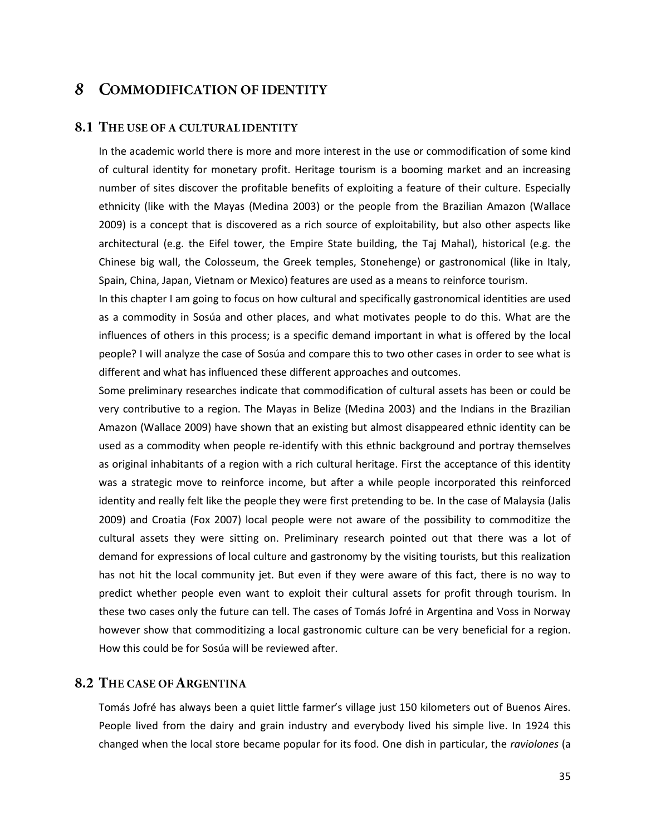#### <span id="page-39-0"></span>**COMMODIFICATION OF IDENTITY** 8

#### <span id="page-39-1"></span>**8.1 THE USE OF A CULTURAL IDENTITY**

In the academic world there is more and more interest in the use or commodification of some kind of cultural identity for monetary profit. Heritage tourism is a booming market and an increasing number of sites discover the profitable benefits of exploiting a feature of their culture. Especially ethnicity (like with the Mayas (Medina 2003) or the people from the Brazilian Amazon (Wallace 2009) is a concept that is discovered as a rich source of exploitability, but also other aspects like architectural (e.g. the Eifel tower, the Empire State building, the Taj Mahal), historical (e.g. the Chinese big wall, the Colosseum, the Greek temples, Stonehenge) or gastronomical (like in Italy, Spain, China, Japan, Vietnam or Mexico) features are used as a means to reinforce tourism.

In this chapter I am going to focus on how cultural and specifically gastronomical identities are used as a commodity in Sosúa and other places, and what motivates people to do this. What are the influences of others in this process; is a specific demand important in what is offered by the local people? I will analyze the case of Sosúa and compare this to two other cases in order to see what is different and what has influenced these different approaches and outcomes.

Some preliminary researches indicate that commodification of cultural assets has been or could be very contributive to a region. The Mayas in Belize (Medina 2003) and the Indians in the Brazilian Amazon (Wallace 2009) have shown that an existing but almost disappeared ethnic identity can be used as a commodity when people re-identify with this ethnic background and portray themselves as original inhabitants of a region with a rich cultural heritage. First the acceptance of this identity was a strategic move to reinforce income, but after a while people incorporated this reinforced identity and really felt like the people they were first pretending to be. In the case of Malaysia (Jalis 2009) and Croatia (Fox 2007) local people were not aware of the possibility to commoditize the cultural assets they were sitting on. Preliminary research pointed out that there was a lot of demand for expressions of local culture and gastronomy by the visiting tourists, but this realization has not hit the local community jet. But even if they were aware of this fact, there is no way to predict whether people even want to exploit their cultural assets for profit through tourism. In these two cases only the future can tell. The cases of Tomás Jofré in Argentina and Voss in Norway however show that commoditizing a local gastronomic culture can be very beneficial for a region. How this could be for Sosúa will be reviewed after.

#### <span id="page-39-2"></span>**8.2 THE CASE OF ARGENTINA**

Tomás Jofré has always been a quiet little farmer's village just 150 kilometers out of Buenos Aires. People lived from the dairy and grain industry and everybody lived his simple live. In 1924 this changed when the local store became popular for its food. One dish in particular, the *raviolones* (a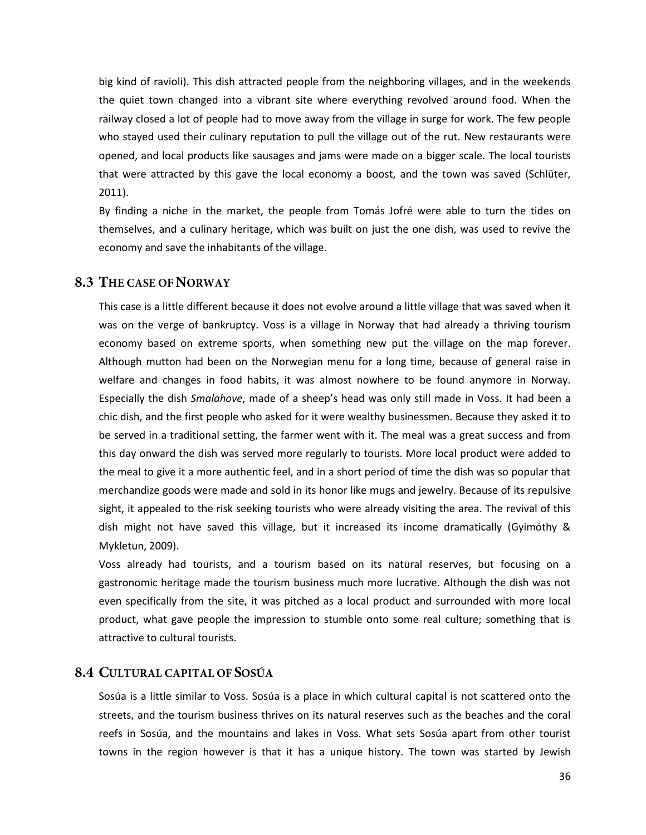big kind of ravioli). This dish attracted people from the neighboring villages, and in the weekends the quiet town changed into a vibrant site where everything revolved around food. When the railway closed a lot of people had to move away from the village in surge for work. The few people who stayed used their culinary reputation to pull the village out of the rut. New restaurants were opened, and local products like sausages and jams were made on a bigger scale. The local tourists that were attracted by this gave the local economy a boost, and the town was saved (Schlüter, 2011).

By finding a niche in the market, the people from Tomás Jofré were able to turn the tides on themselves, and a culinary heritage, which was built on just the one dish, was used to revive the economy and save the inhabitants of the village.

#### <span id="page-40-0"></span>**8.3 THE CASE OF NORWAY**

This case is a little different because it does not evolve around a little village that was saved when it was on the verge of bankruptcy. Voss is a village in Norway that had already a thriving tourism economy based on extreme sports, when something new put the village on the map forever. Although mutton had been on the Norwegian menu for a long time, because of general raise in welfare and changes in food habits, it was almost nowhere to be found anymore in Norway. Especially the dish *Smalahove*, made of a sheep's head was only still made in Voss. It had been a chic dish, and the first people who asked for it were wealthy businessmen. Because they asked it to be served in a traditional setting, the farmer went with it. The meal was a great success and from this day onward the dish was served more regularly to tourists. More local product were added to the meal to give it a more authentic feel, and in a short period of time the dish was so popular that merchandize goods were made and sold in its honor like mugs and jewelry. Because of its repulsive sight, it appealed to the risk seeking tourists who were already visiting the area. The revival of this dish might not have saved this village, but it increased its income dramatically (Gyimóthy & Mykletun, 2009).

Voss already had tourists, and a tourism based on its natural reserves, but focusing on a gastronomic heritage made the tourism business much more lucrative. Although the dish was not even specifically from the site, it was pitched as a local product and surrounded with more local product, what gave people the impression to stumble onto some real culture; something that is attractive to cultural tourists.

#### <span id="page-40-1"></span>**8.4 CULTURAL CAPITAL OF SOSÚA**

Sosúa is a little similar to Voss. Sosúa is a place in which cultural capital is not scattered onto the streets, and the tourism business thrives on its natural reserves such as the beaches and the coral reefs in Sosúa, and the mountains and lakes in Voss. What sets Sosúa apart from other tourist towns in the region however is that it has a unique history. The town was started by Jewish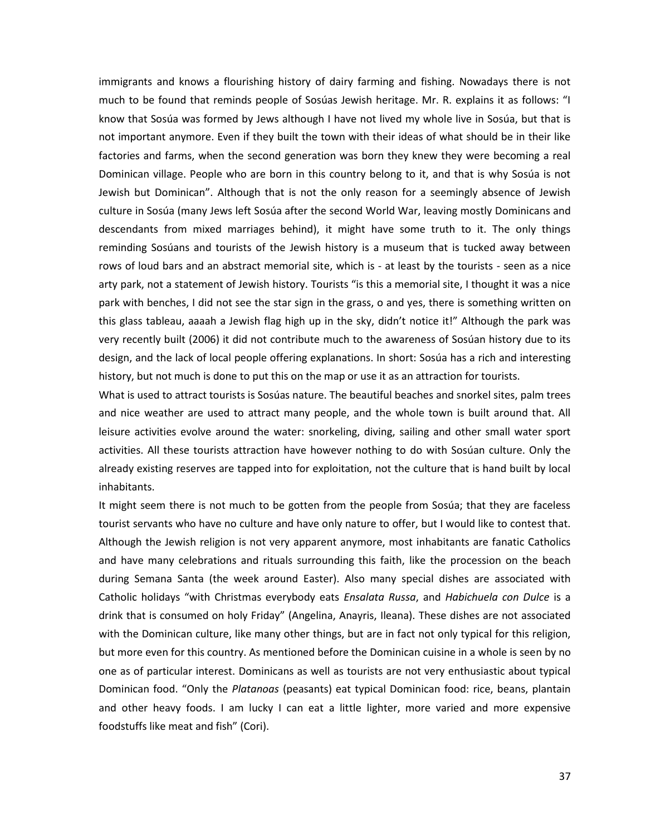immigrants and knows a flourishing history of dairy farming and fishing. Nowadays there is not much to be found that reminds people of Sosúas Jewish heritage. Mr. R. explains it as follows: "I know that Sosúa was formed by Jews although I have not lived my whole live in Sosúa, but that is not important anymore. Even if they built the town with their ideas of what should be in their like factories and farms, when the second generation was born they knew they were becoming a real Dominican village. People who are born in this country belong to it, and that is why Sosúa is not Jewish but Dominican". Although that is not the only reason for a seemingly absence of Jewish culture in Sosúa (many Jews left Sosúa after the second World War, leaving mostly Dominicans and descendants from mixed marriages behind), it might have some truth to it. The only things reminding Sosúans and tourists of the Jewish history is a museum that is tucked away between rows of loud bars and an abstract memorial site, which is - at least by the tourists - seen as a nice arty park, not a statement of Jewish history. Tourists "is this a memorial site, I thought it was a nice park with benches, I did not see the star sign in the grass, o and yes, there is something written on this glass tableau, aaaah a Jewish flag high up in the sky, didn't notice it!" Although the park was very recently built (2006) it did not contribute much to the awareness of Sosúan history due to its design, and the lack of local people offering explanations. In short: Sosúa has a rich and interesting history, but not much is done to put this on the map or use it as an attraction for tourists.

What is used to attract tourists is Sosúas nature. The beautiful beaches and snorkel sites, palm trees and nice weather are used to attract many people, and the whole town is built around that. All leisure activities evolve around the water: snorkeling, diving, sailing and other small water sport activities. All these tourists attraction have however nothing to do with Sosúan culture. Only the already existing reserves are tapped into for exploitation, not the culture that is hand built by local inhabitants.

It might seem there is not much to be gotten from the people from Sosúa; that they are faceless tourist servants who have no culture and have only nature to offer, but I would like to contest that. Although the Jewish religion is not very apparent anymore, most inhabitants are fanatic Catholics and have many celebrations and rituals surrounding this faith, like the procession on the beach during Semana Santa (the week around Easter). Also many special dishes are associated with Catholic holidays "with Christmas everybody eats *Ensalata Russa*, and *Habichuela con Dulce* is a drink that is consumed on holy Friday" (Angelina, Anayris, Ileana). These dishes are not associated with the Dominican culture, like many other things, but are in fact not only typical for this religion, but more even for this country. As mentioned before the Dominican cuisine in a whole is seen by no one as of particular interest. Dominicans as well as tourists are not very enthusiastic about typical Dominican food. "Only the *Platanoas* (peasants) eat typical Dominican food: rice, beans, plantain and other heavy foods. I am lucky I can eat a little lighter, more varied and more expensive foodstuffs like meat and fish" (Cori).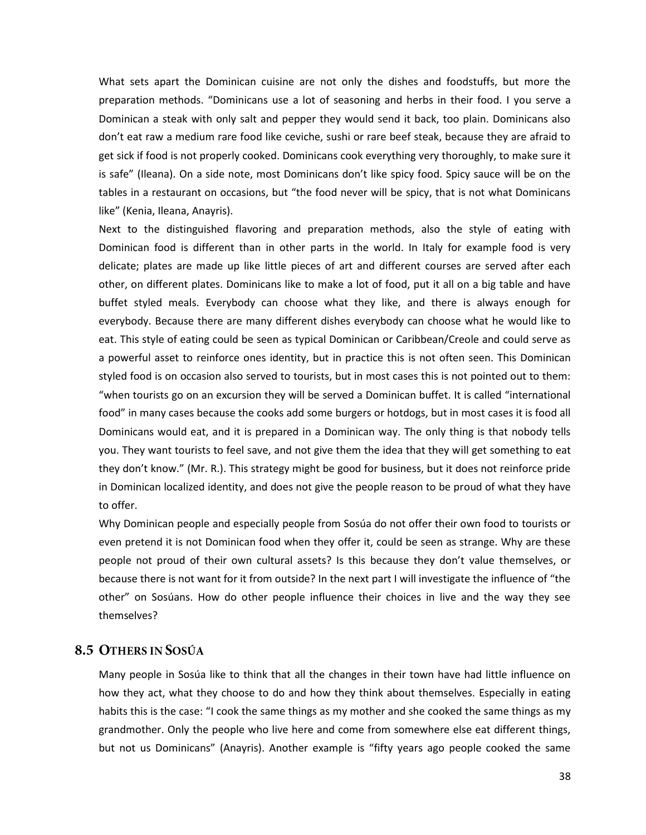What sets apart the Dominican cuisine are not only the dishes and foodstuffs, but more the preparation methods. "Dominicans use a lot of seasoning and herbs in their food. I you serve a Dominican a steak with only salt and pepper they would send it back, too plain. Dominicans also don't eat raw a medium rare food like ceviche, sushi or rare beef steak, because they are afraid to get sick if food is not properly cooked. Dominicans cook everything very thoroughly, to make sure it is safe" (Ileana). On a side note, most Dominicans don't like spicy food. Spicy sauce will be on the tables in a restaurant on occasions, but "the food never will be spicy, that is not what Dominicans like" (Kenia, Ileana, Anayris).

Next to the distinguished flavoring and preparation methods, also the style of eating with Dominican food is different than in other parts in the world. In Italy for example food is very delicate; plates are made up like little pieces of art and different courses are served after each other, on different plates. Dominicans like to make a lot of food, put it all on a big table and have buffet styled meals. Everybody can choose what they like, and there is always enough for everybody. Because there are many different dishes everybody can choose what he would like to eat. This style of eating could be seen as typical Dominican or Caribbean/Creole and could serve as a powerful asset to reinforce ones identity, but in practice this is not often seen. This Dominican styled food is on occasion also served to tourists, but in most cases this is not pointed out to them: "when tourists go on an excursion they will be served a Dominican buffet. It is called "international food" in many cases because the cooks add some burgers or hotdogs, but in most cases it is food all Dominicans would eat, and it is prepared in a Dominican way. The only thing is that nobody tells you. They want tourists to feel save, and not give them the idea that they will get something to eat they don't know." (Mr. R.). This strategy might be good for business, but it does not reinforce pride in Dominican localized identity, and does not give the people reason to be proud of what they have to offer.

Why Dominican people and especially people from Sosúa do not offer their own food to tourists or even pretend it is not Dominican food when they offer it, could be seen as strange. Why are these people not proud of their own cultural assets? Is this because they don't value themselves, or because there is not want for it from outside? In the next part I will investigate the influence of "the other" on Sosúans. How do other people influence their choices in live and the way they see themselves?

#### <span id="page-42-0"></span>8.5 OTHERS IN SOSÚA

Many people in Sosúa like to think that all the changes in their town have had little influence on how they act, what they choose to do and how they think about themselves. Especially in eating habits this is the case: "I cook the same things as my mother and she cooked the same things as my grandmother. Only the people who live here and come from somewhere else eat different things, but not us Dominicans" (Anayris). Another example is "fifty years ago people cooked the same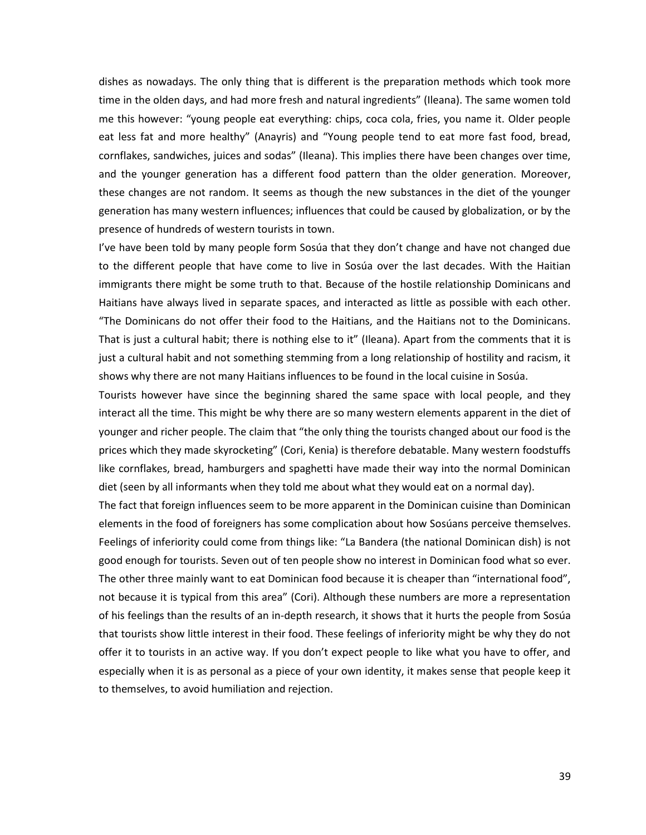dishes as nowadays. The only thing that is different is the preparation methods which took more time in the olden days, and had more fresh and natural ingredients" (Ileana). The same women told me this however: "young people eat everything: chips, coca cola, fries, you name it. Older people eat less fat and more healthy" (Anayris) and "Young people tend to eat more fast food, bread, cornflakes, sandwiches, juices and sodas" (Ileana). This implies there have been changes over time, and the younger generation has a different food pattern than the older generation. Moreover, these changes are not random. It seems as though the new substances in the diet of the younger generation has many western influences; influences that could be caused by globalization, or by the presence of hundreds of western tourists in town.

I've have been told by many people form Sosúa that they don't change and have not changed due to the different people that have come to live in Sosúa over the last decades. With the Haitian immigrants there might be some truth to that. Because of the hostile relationship Dominicans and Haitians have always lived in separate spaces, and interacted as little as possible with each other. "The Dominicans do not offer their food to the Haitians, and the Haitians not to the Dominicans. That is just a cultural habit; there is nothing else to it" (Ileana). Apart from the comments that it is just a cultural habit and not something stemming from a long relationship of hostility and racism, it shows why there are not many Haitians influences to be found in the local cuisine in Sosúa.

Tourists however have since the beginning shared the same space with local people, and they interact all the time. This might be why there are so many western elements apparent in the diet of younger and richer people. The claim that "the only thing the tourists changed about our food is the prices which they made skyrocketing" (Cori, Kenia) is therefore debatable. Many western foodstuffs like cornflakes, bread, hamburgers and spaghetti have made their way into the normal Dominican diet (seen by all informants when they told me about what they would eat on a normal day).

The fact that foreign influences seem to be more apparent in the Dominican cuisine than Dominican elements in the food of foreigners has some complication about how Sosúans perceive themselves. Feelings of inferiority could come from things like: "La Bandera (the national Dominican dish) is not good enough for tourists. Seven out of ten people show no interest in Dominican food what so ever. The other three mainly want to eat Dominican food because it is cheaper than "international food", not because it is typical from this area" (Cori). Although these numbers are more a representation of his feelings than the results of an in-depth research, it shows that it hurts the people from Sosúa that tourists show little interest in their food. These feelings of inferiority might be why they do not offer it to tourists in an active way. If you don't expect people to like what you have to offer, and especially when it is as personal as a piece of your own identity, it makes sense that people keep it to themselves, to avoid humiliation and rejection.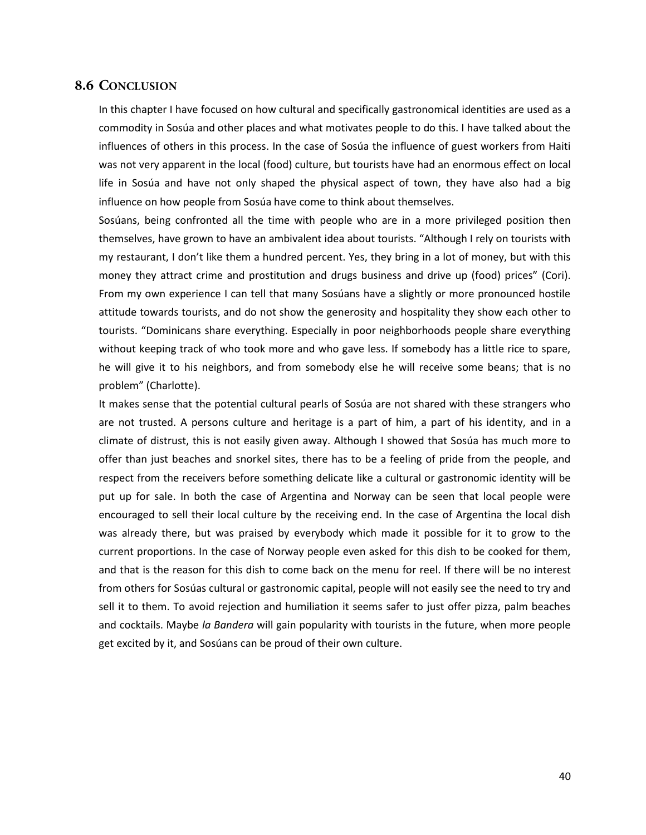#### <span id="page-44-0"></span>**8.6 CONCLUSION**

In this chapter I have focused on how cultural and specifically gastronomical identities are used as a commodity in Sosúa and other places and what motivates people to do this. I have talked about the influences of others in this process. In the case of Sosúa the influence of guest workers from Haiti was not very apparent in the local (food) culture, but tourists have had an enormous effect on local life in Sosúa and have not only shaped the physical aspect of town, they have also had a big influence on how people from Sosúa have come to think about themselves.

Sosúans, being confronted all the time with people who are in a more privileged position then themselves, have grown to have an ambivalent idea about tourists. "Although I rely on tourists with my restaurant, I don't like them a hundred percent. Yes, they bring in a lot of money, but with this money they attract crime and prostitution and drugs business and drive up (food) prices" (Cori). From my own experience I can tell that many Sosúans have a slightly or more pronounced hostile attitude towards tourists, and do not show the generosity and hospitality they show each other to tourists. "Dominicans share everything. Especially in poor neighborhoods people share everything without keeping track of who took more and who gave less. If somebody has a little rice to spare, he will give it to his neighbors, and from somebody else he will receive some beans; that is no problem" (Charlotte).

It makes sense that the potential cultural pearls of Sosúa are not shared with these strangers who are not trusted. A persons culture and heritage is a part of him, a part of his identity, and in a climate of distrust, this is not easily given away. Although I showed that Sosúa has much more to offer than just beaches and snorkel sites, there has to be a feeling of pride from the people, and respect from the receivers before something delicate like a cultural or gastronomic identity will be put up for sale. In both the case of Argentina and Norway can be seen that local people were encouraged to sell their local culture by the receiving end. In the case of Argentina the local dish was already there, but was praised by everybody which made it possible for it to grow to the current proportions. In the case of Norway people even asked for this dish to be cooked for them, and that is the reason for this dish to come back on the menu for reel. If there will be no interest from others for Sosúas cultural or gastronomic capital, people will not easily see the need to try and sell it to them. To avoid rejection and humiliation it seems safer to just offer pizza, palm beaches and cocktails. Maybe *la Bandera* will gain popularity with tourists in the future, when more people get excited by it, and Sosúans can be proud of their own culture.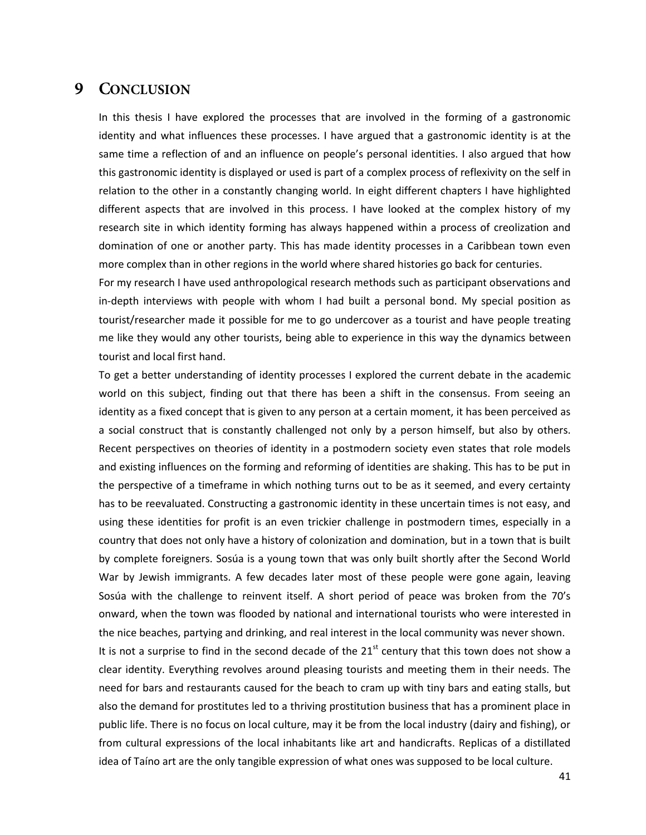#### <span id="page-45-0"></span>9 CONCLUSION

In this thesis I have explored the processes that are involved in the forming of a gastronomic identity and what influences these processes. I have argued that a gastronomic identity is at the same time a reflection of and an influence on people's personal identities. I also argued that how this gastronomic identity is displayed or used is part of a complex process of reflexivity on the self in relation to the other in a constantly changing world. In eight different chapters I have highlighted different aspects that are involved in this process. I have looked at the complex history of my research site in which identity forming has always happened within a process of creolization and domination of one or another party. This has made identity processes in a Caribbean town even more complex than in other regions in the world where shared histories go back for centuries.

For my research I have used anthropological research methods such as participant observations and in-depth interviews with people with whom I had built a personal bond. My special position as tourist/researcher made it possible for me to go undercover as a tourist and have people treating me like they would any other tourists, being able to experience in this way the dynamics between tourist and local first hand.

To get a better understanding of identity processes I explored the current debate in the academic world on this subject, finding out that there has been a shift in the consensus. From seeing an identity as a fixed concept that is given to any person at a certain moment, it has been perceived as a social construct that is constantly challenged not only by a person himself, but also by others. Recent perspectives on theories of identity in a postmodern society even states that role models and existing influences on the forming and reforming of identities are shaking. This has to be put in the perspective of a timeframe in which nothing turns out to be as it seemed, and every certainty has to be reevaluated. Constructing a gastronomic identity in these uncertain times is not easy, and using these identities for profit is an even trickier challenge in postmodern times, especially in a country that does not only have a history of colonization and domination, but in a town that is built by complete foreigners. Sosúa is a young town that was only built shortly after the Second World War by Jewish immigrants. A few decades later most of these people were gone again, leaving Sosúa with the challenge to reinvent itself. A short period of peace was broken from the 70's onward, when the town was flooded by national and international tourists who were interested in the nice beaches, partying and drinking, and real interest in the local community was never shown.

It is not a surprise to find in the second decade of the  $21^{st}$  century that this town does not show a clear identity. Everything revolves around pleasing tourists and meeting them in their needs. The need for bars and restaurants caused for the beach to cram up with tiny bars and eating stalls, but also the demand for prostitutes led to a thriving prostitution business that has a prominent place in public life. There is no focus on local culture, may it be from the local industry (dairy and fishing), or from cultural expressions of the local inhabitants like art and handicrafts. Replicas of a distillated idea of Taíno art are the only tangible expression of what ones was supposed to be local culture.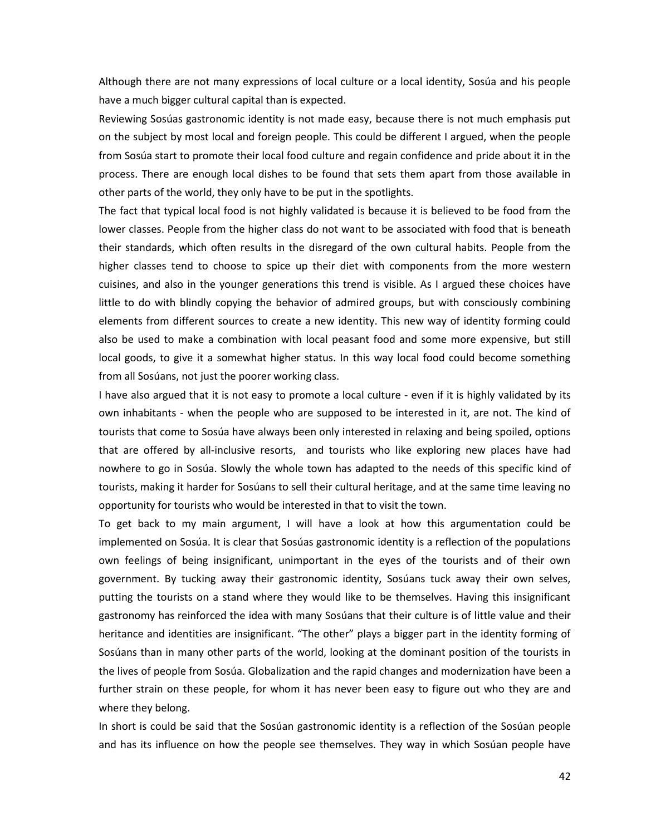Although there are not many expressions of local culture or a local identity, Sosúa and his people have a much bigger cultural capital than is expected.

Reviewing Sosúas gastronomic identity is not made easy, because there is not much emphasis put on the subject by most local and foreign people. This could be different I argued, when the people from Sosúa start to promote their local food culture and regain confidence and pride about it in the process. There are enough local dishes to be found that sets them apart from those available in other parts of the world, they only have to be put in the spotlights.

The fact that typical local food is not highly validated is because it is believed to be food from the lower classes. People from the higher class do not want to be associated with food that is beneath their standards, which often results in the disregard of the own cultural habits. People from the higher classes tend to choose to spice up their diet with components from the more western cuisines, and also in the younger generations this trend is visible. As I argued these choices have little to do with blindly copying the behavior of admired groups, but with consciously combining elements from different sources to create a new identity. This new way of identity forming could also be used to make a combination with local peasant food and some more expensive, but still local goods, to give it a somewhat higher status. In this way local food could become something from all Sosúans, not just the poorer working class.

I have also argued that it is not easy to promote a local culture - even if it is highly validated by its own inhabitants - when the people who are supposed to be interested in it, are not. The kind of tourists that come to Sosúa have always been only interested in relaxing and being spoiled, options that are offered by all-inclusive resorts, and tourists who like exploring new places have had nowhere to go in Sosúa. Slowly the whole town has adapted to the needs of this specific kind of tourists, making it harder for Sosúans to sell their cultural heritage, and at the same time leaving no opportunity for tourists who would be interested in that to visit the town.

To get back to my main argument, I will have a look at how this argumentation could be implemented on Sosúa. It is clear that Sosúas gastronomic identity is a reflection of the populations own feelings of being insignificant, unimportant in the eyes of the tourists and of their own government. By tucking away their gastronomic identity, Sosúans tuck away their own selves, putting the tourists on a stand where they would like to be themselves. Having this insignificant gastronomy has reinforced the idea with many Sosúans that their culture is of little value and their heritance and identities are insignificant. "The other" plays a bigger part in the identity forming of Sosúans than in many other parts of the world, looking at the dominant position of the tourists in the lives of people from Sosúa. Globalization and the rapid changes and modernization have been a further strain on these people, for whom it has never been easy to figure out who they are and where they belong.

In short is could be said that the Sosúan gastronomic identity is a reflection of the Sosúan people and has its influence on how the people see themselves. They way in which Sosúan people have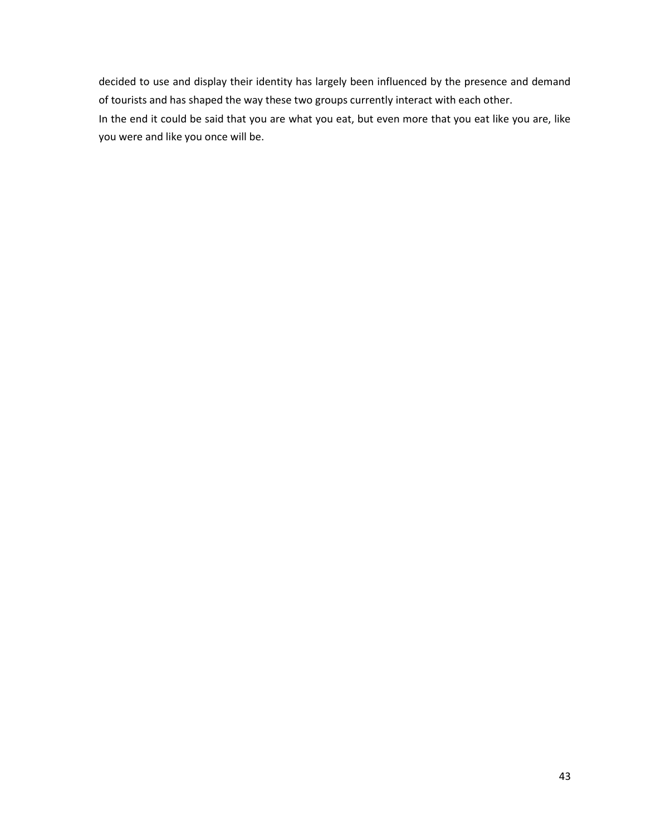decided to use and display their identity has largely been influenced by the presence and demand of tourists and has shaped the way these two groups currently interact with each other.

In the end it could be said that you are what you eat, but even more that you eat like you are, like you were and like you once will be.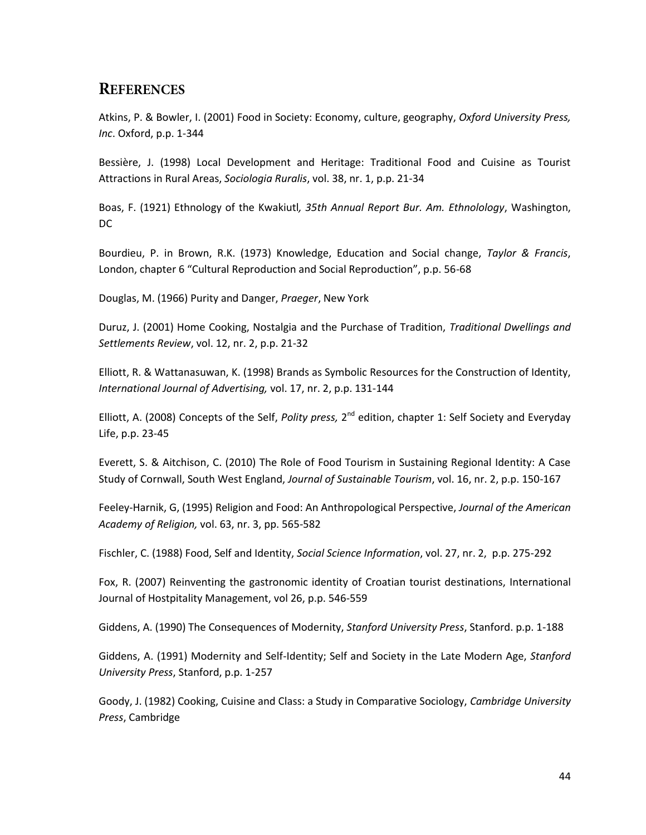## <span id="page-48-0"></span>**REFERENCES**

Atkins, P. & Bowler, I. (2001) Food in Society: Economy, culture, geography, *Oxford University Press, Inc*. Oxford, p.p. 1-344

Bessière, J. (1998) Local Development and Heritage: Traditional Food and Cuisine as Tourist Attractions in Rural Areas, *Sociologia Ruralis*, vol. 38, nr. 1, p.p. 21-34

Boas, F. (1921) Ethnology of the Kwakiutl*, 35th Annual Report Bur. Am. Ethnolology*, Washington, DC

Bourdieu, P. in Brown, R.K. (1973) Knowledge, Education and Social change, *Taylor & Francis*, London, chapter 6 "Cultural Reproduction and Social Reproduction", p.p. 56-68

Douglas, M. (1966) Purity and Danger, *Praeger*, New York

Duruz, J. (2001) Home Cooking, Nostalgia and the Purchase of Tradition, *Traditional Dwellings and Settlements Review*, vol. 12, nr. 2, p.p. 21-32

Elliott, R. & Wattanasuwan, K. (1998) Brands as Symbolic Resources for the Construction of Identity, *International Journal of Advertising,* vol. 17, nr. 2, p.p. 131-144

Elliott, A. (2008) Concepts of the Self, *Polity press*, 2<sup>nd</sup> edition, chapter 1: Self Society and Everyday Life, p.p. 23-45

Everett, S. & Aitchison, C. (2010) The Role of Food Tourism in Sustaining Regional Identity: A Case Study of Cornwall, South West England, *Journal of Sustainable Tourism*, vol. 16, nr. 2, p.p. 150-167

Feeley-Harnik, G, (1995) Religion and Food: An Anthropological Perspective, *Journal of the American Academy of Religion,* vol. 63, nr. 3, pp. 565-582

Fischler, C. (1988) Food, Self and Identity, *Social Science Information*, vol. 27, nr. 2, p.p. 275-292

Fox, R. (2007) Reinventing the gastronomic identity of Croatian tourist destinations, International Journal of Hostpitality Management, vol 26, p.p. 546-559

Giddens, A. (1990) The Consequences of Modernity, *Stanford University Press*, Stanford. p.p. 1-188

Giddens, A. (1991) Modernity and Self-Identity; Self and Society in the Late Modern Age, *Stanford University Press*, Stanford, p.p. 1-257

Goody, J. (1982) Cooking, Cuisine and Class: a Study in Comparative Sociology, *Cambridge University Press*, Cambridge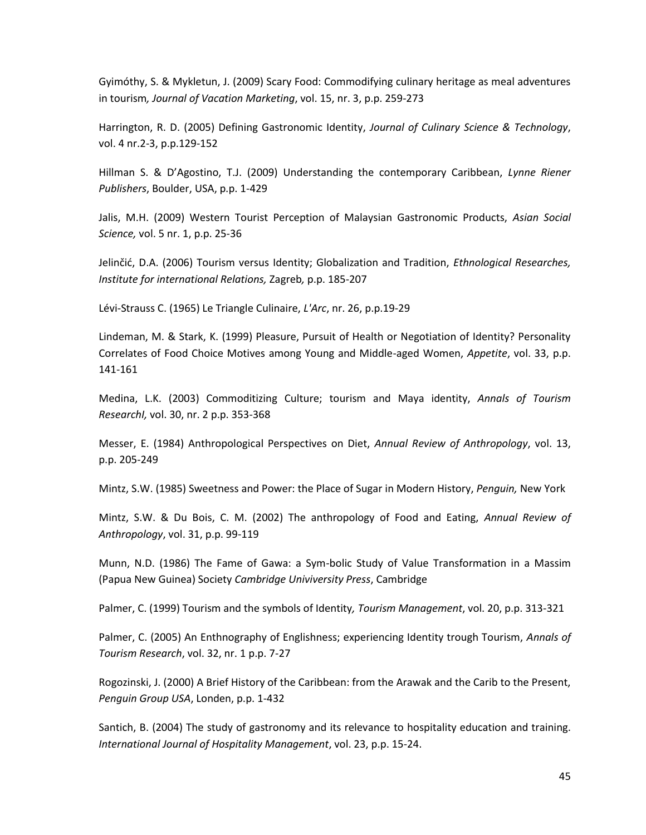Gyimóthy, S. & Mykletun, J. (2009) Scary Food: Commodifying culinary heritage as meal adventures in tourism*, Journal of Vacation Marketing*, vol. 15, nr. 3, p.p. 259-273

Harrington, R. D. (2005) Defining Gastronomic Identity, *Journal of Culinary Science & Technology*, vol. 4 nr.2-3, p.p.129-152

Hillman S. & D'Agostino, T.J. (2009) Understanding the contemporary Caribbean, *Lynne Riener Publishers*, Boulder, USA, p.p. 1-429

Jalis, M.H. (2009) Western Tourist Perception of Malaysian Gastronomic Products, *Asian Social Science,* vol. 5 nr. 1, p.p. 25-36

Jelinčić, D.A. (2006) Tourism versus Identity; Globalization and Tradition, *Ethnological Researches, Institute for international Relations,* Zagreb*,* p.p. 185-207

Lévi-Strauss C. (1965) Le Triangle Culinaire, *L'Arc*, nr. 26, p.p.19-29

Lindeman, M. & Stark, K. (1999) Pleasure, Pursuit of Health or Negotiation of Identity? Personality Correlates of Food Choice Motives among Young and Middle-aged Women, *Appetite*, vol. 33, p.p. 141-161

Medina, L.K. (2003) Commoditizing Culture; tourism and Maya identity, *Annals of Tourism ResearchI,* vol. 30, nr. 2 p.p. 353-368

Messer, E. (1984) Anthropological Perspectives on Diet, *Annual Review of Anthropology*, vol. 13, p.p. 205-249

Mintz, S.W. (1985) Sweetness and Power: the Place of Sugar in Modern History, *Penguin,* New York

Mintz, S.W. & Du Bois, C. M. (2002) The anthropology of Food and Eating, *Annual Review of Anthropology*, vol. 31, p.p. 99-119

Munn, N.D. (1986) The Fame of Gawa: a Sym-bolic Study of Value Transformation in a Massim (Papua New Guinea) Society *Cambridge Univiversity Press*, Cambridge

Palmer, C. (1999) Tourism and the symbols of Identity*, Tourism Management*, vol. 20, p.p. 313-321

Palmer, C. (2005) An Enthnography of Englishness; experiencing Identity trough Tourism, *Annals of Tourism Research*, vol. 32, nr. 1 p.p. 7-27

Rogozinski, J. (2000) A Brief History of the Caribbean: from the Arawak and the Carib to the Present, *Penguin Group USA*, Londen, p.p. 1-432

Santich, B. (2004) The study of gastronomy and its relevance to hospitality education and training. *International Journal of Hospitality Management*, vol. 23, p.p. 15-24.